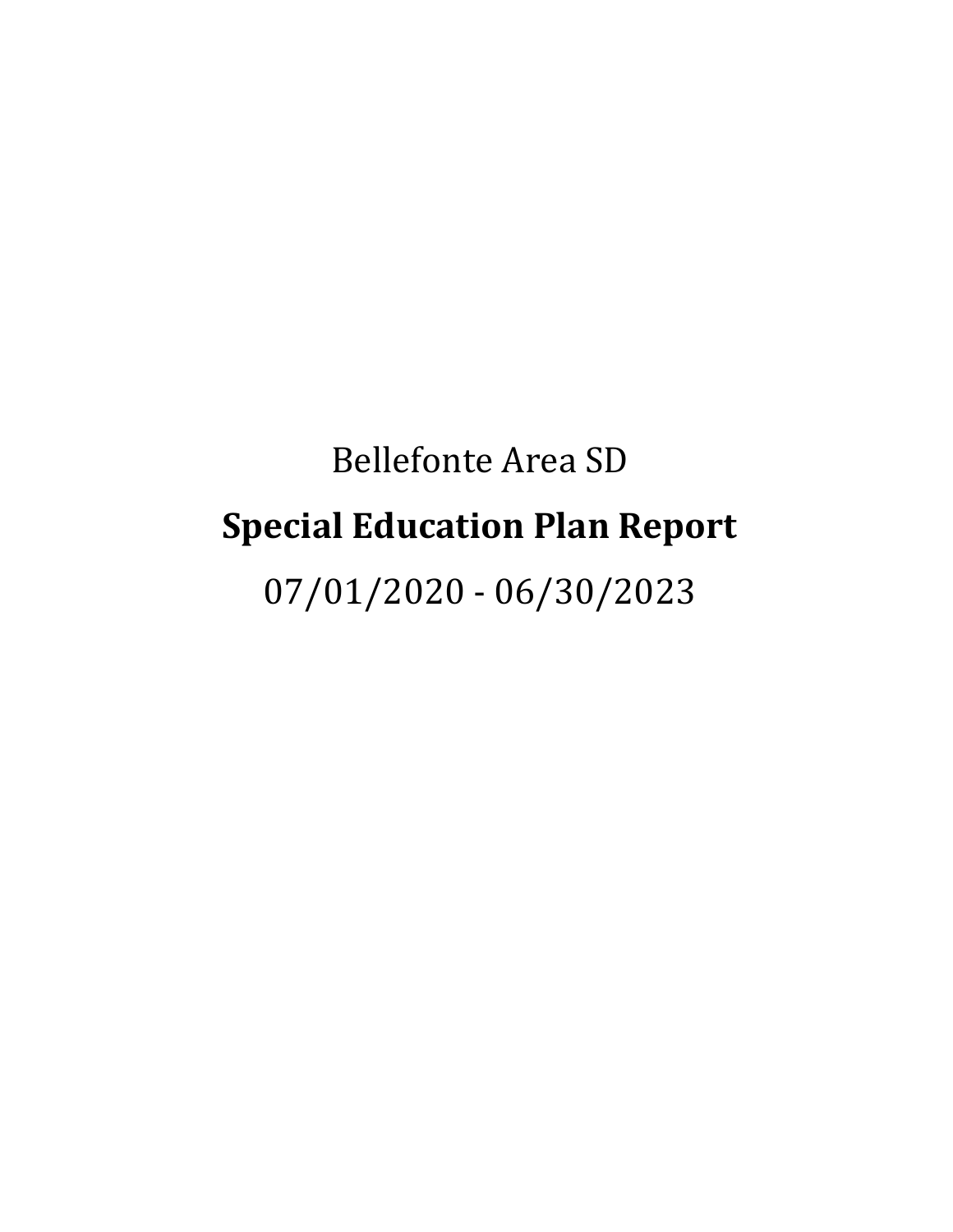# Bellefonte Area SD **Special Education Plan Report**

07/01/2020 - 06/30/2023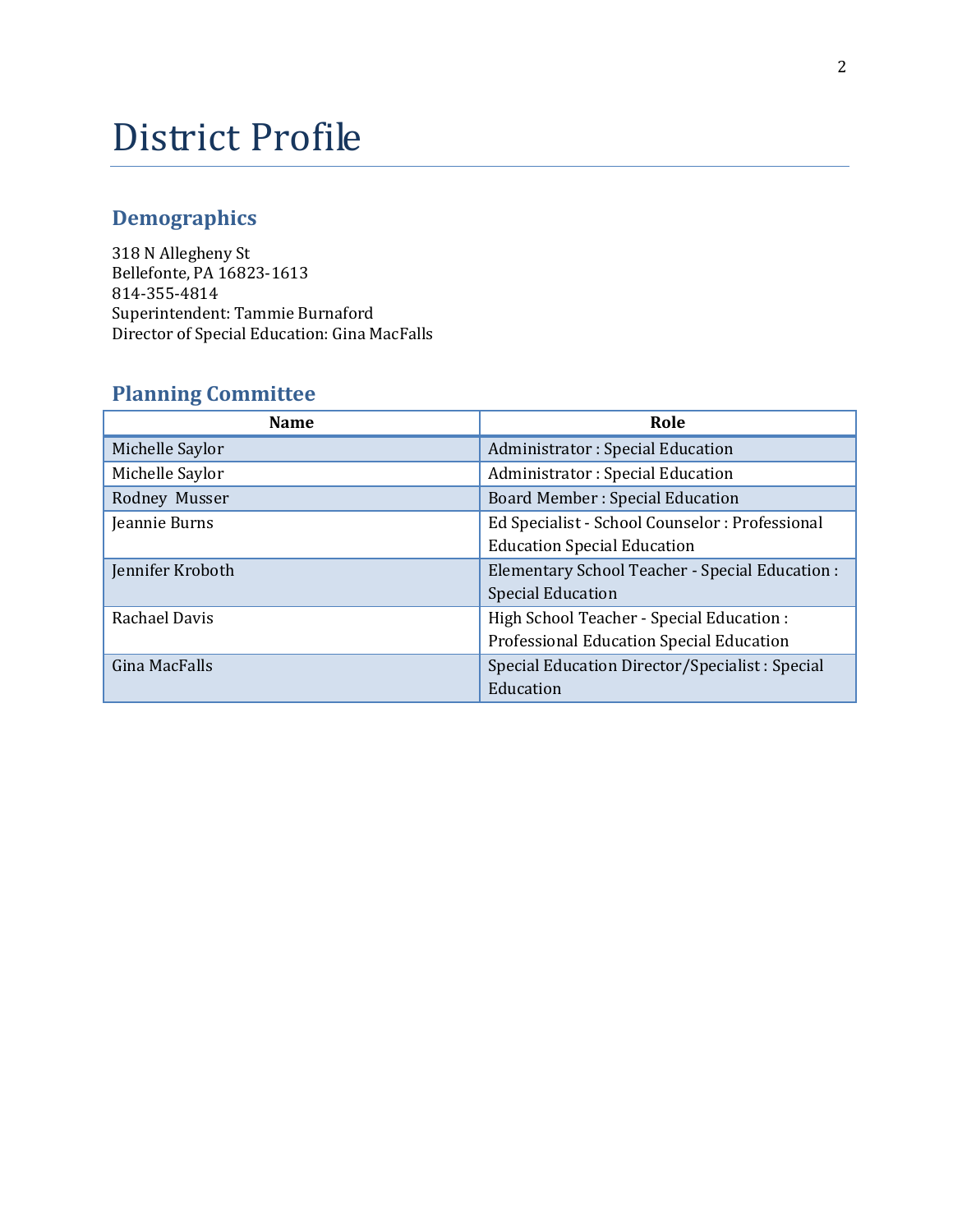## District Profile

## **Demographics**

318 N Allegheny St Bellefonte, PA 16823-1613 814-355-4814 Superintendent: Tammie Burnaford Director of Special Education: Gina MacFalls

## **Planning Committee**

| <b>Name</b>      | Role                                            |
|------------------|-------------------------------------------------|
| Michelle Saylor  | Administrator: Special Education                |
| Michelle Saylor  | Administrator: Special Education                |
| Rodney Musser    | <b>Board Member: Special Education</b>          |
| Jeannie Burns    | Ed Specialist - School Counselor : Professional |
|                  | <b>Education Special Education</b>              |
| Jennifer Kroboth | Elementary School Teacher - Special Education : |
|                  | <b>Special Education</b>                        |
| Rachael Davis    | High School Teacher - Special Education :       |
|                  | Professional Education Special Education        |
| Gina MacFalls    | Special Education Director/Specialist: Special  |
|                  | Education                                       |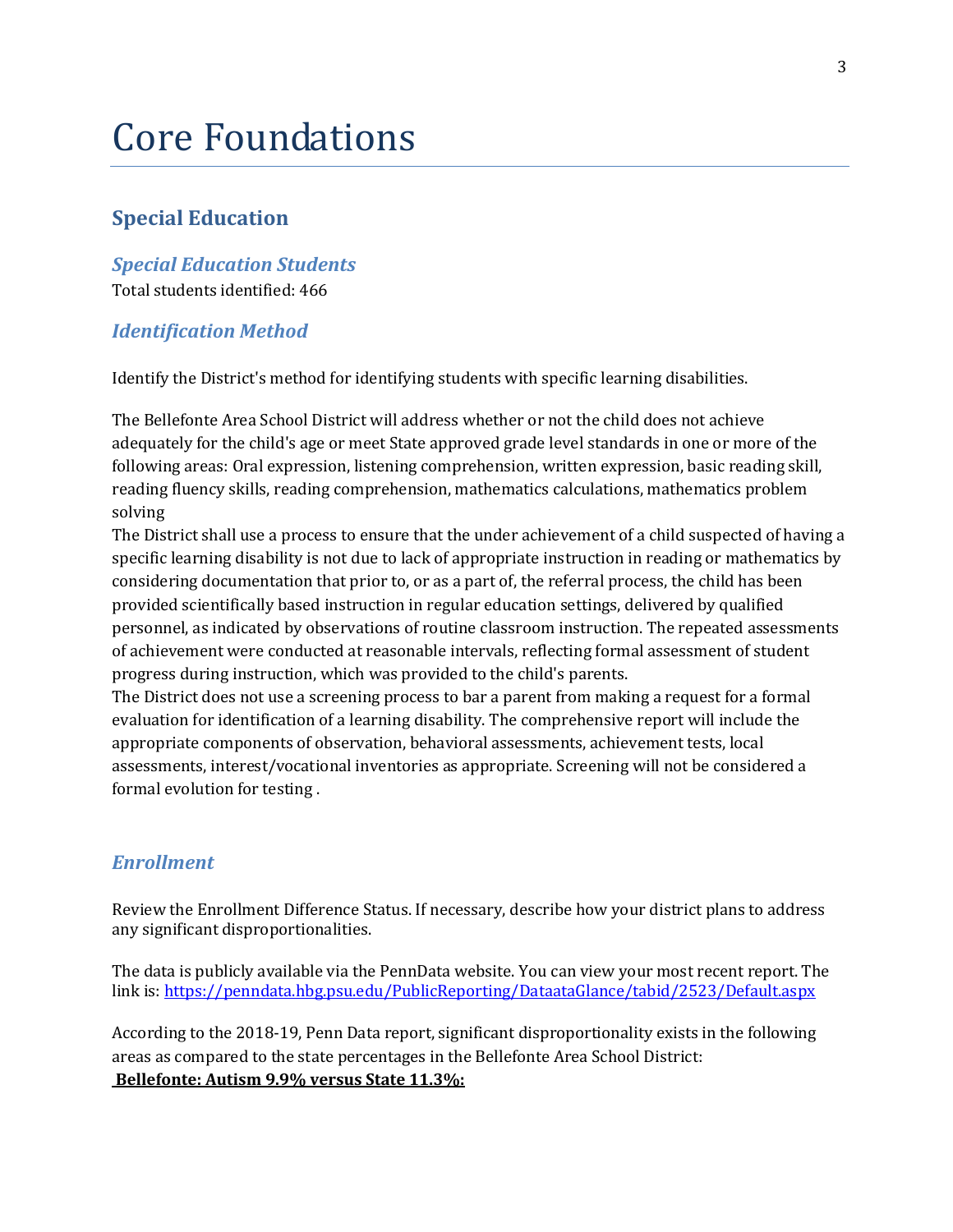## Core Foundations

### **Special Education**

## *Special Education Students*

Total students identified: 466

#### *Identification Method*

Identify the District's method for identifying students with specific learning disabilities.

The Bellefonte Area School District will address whether or not the child does not achieve adequately for the child's age or meet State approved grade level standards in one or more of the following areas: Oral expression, listening comprehension, written expression, basic reading skill, reading fluency skills, reading comprehension, mathematics calculations, mathematics problem solving

The District shall use a process to ensure that the under achievement of a child suspected of having a specific learning disability is not due to lack of appropriate instruction in reading or mathematics by considering documentation that prior to, or as a part of, the referral process, the child has been provided scientifically based instruction in regular education settings, delivered by qualified personnel, as indicated by observations of routine classroom instruction. The repeated assessments of achievement were conducted at reasonable intervals, reflecting formal assessment of student progress during instruction, which was provided to the child's parents.

The District does not use a screening process to bar a parent from making a request for a formal evaluation for identification of a learning disability. The comprehensive report will include the appropriate components of observation, behavioral assessments, achievement tests, local assessments, interest/vocational inventories as appropriate. Screening will not be considered a formal evolution for testing .

#### *Enrollment*

Review the Enrollment Difference Status. If necessary, describe how your district plans to address any significant disproportionalities.

The data is publicly available via the PennData website. You can view your most recent report. The link is[: https://penndata.hbg.psu.edu/PublicReporting/DataataGlance/tabid/2523/Default.aspx](https://penndata.hbg.psu.edu/PublicReporting/DataataGlance/tabid/2523/Default.aspx)

According to the 2018-19, Penn Data report, significant disproportionality exists in the following areas as compared to the state percentages in the Bellefonte Area School District: **Bellefonte: Autism 9.9% versus State 11.3%:**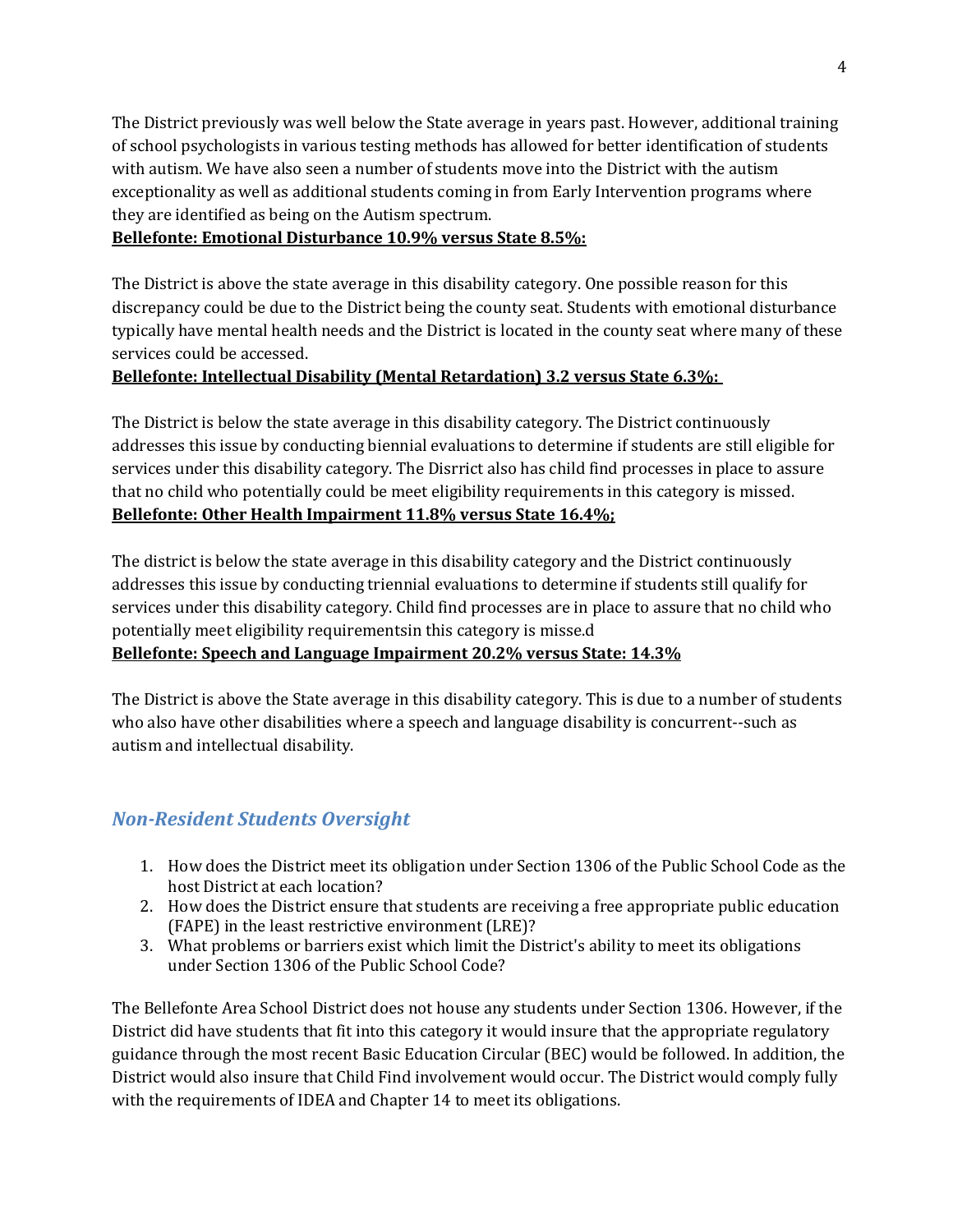The District previously was well below the State average in years past. However, additional training of school psychologists in various testing methods has allowed for better identification of students with autism. We have also seen a number of students move into the District with the autism exceptionality as well as additional students coming in from Early Intervention programs where they are identified as being on the Autism spectrum.

#### **Bellefonte: Emotional Disturbance 10.9% versus State 8.5%:**

The District is above the state average in this disability category. One possible reason for this discrepancy could be due to the District being the county seat. Students with emotional disturbance typically have mental health needs and the District is located in the county seat where many of these services could be accessed.

#### **Bellefonte: Intellectual Disability (Mental Retardation) 3.2 versus State 6.3%:**

The District is below the state average in this disability category. The District continuously addresses this issue by conducting biennial evaluations to determine if students are still eligible for services under this disability category. The Disrrict also has child find processes in place to assure that no child who potentially could be meet eligibility requirements in this category is missed. **Bellefonte: Other Health Impairment 11.8% versus State 16.4%;**

The district is below the state average in this disability category and the District continuously addresses this issue by conducting triennial evaluations to determine if students still qualify for services under this disability category. Child find processes are in place to assure that no child who potentially meet eligibility requirementsin this category is misse.d **Bellefonte: Speech and Language Impairment 20.2% versus State: 14.3%**

The District is above the State average in this disability category. This is due to a number of students who also have other disabilities where a speech and language disability is concurrent--such as autism and intellectual disability.

#### *Non-Resident Students Oversight*

- 1. How does the District meet its obligation under Section 1306 of the Public School Code as the host District at each location?
- 2. How does the District ensure that students are receiving a free appropriate public education (FAPE) in the least restrictive environment (LRE)?
- 3. What problems or barriers exist which limit the District's ability to meet its obligations under Section 1306 of the Public School Code?

The Bellefonte Area School District does not house any students under Section 1306. However, if the District did have students that fit into this category it would insure that the appropriate regulatory guidance through the most recent Basic Education Circular (BEC) would be followed. In addition, the District would also insure that Child Find involvement would occur. The District would comply fully with the requirements of IDEA and Chapter 14 to meet its obligations.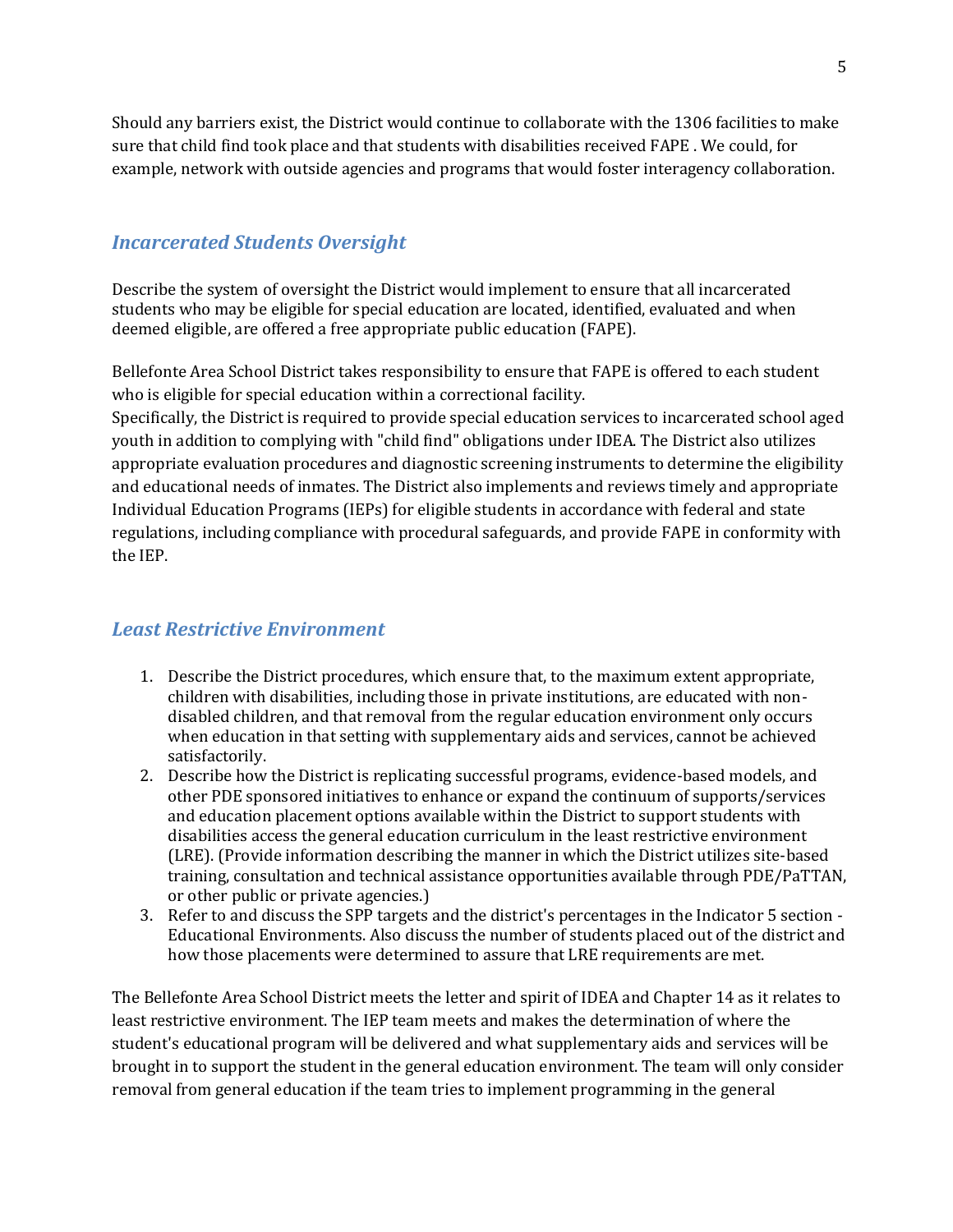Should any barriers exist, the District would continue to collaborate with the 1306 facilities to make sure that child find took place and that students with disabilities received FAPE . We could, for example, network with outside agencies and programs that would foster interagency collaboration.

#### *Incarcerated Students Oversight*

Describe the system of oversight the District would implement to ensure that all incarcerated students who may be eligible for special education are located, identified, evaluated and when deemed eligible, are offered a free appropriate public education (FAPE).

Bellefonte Area School District takes responsibility to ensure that FAPE is offered to each student who is eligible for special education within a correctional facility.

Specifically, the District is required to provide special education services to incarcerated school aged youth in addition to complying with "child find" obligations under IDEA. The District also utilizes appropriate evaluation procedures and diagnostic screening instruments to determine the eligibility and educational needs of inmates. The District also implements and reviews timely and appropriate Individual Education Programs (IEPs) for eligible students in accordance with federal and state regulations, including compliance with procedural safeguards, and provide FAPE in conformity with the IEP.

#### *Least Restrictive Environment*

- 1. Describe the District procedures, which ensure that, to the maximum extent appropriate, children with disabilities, including those in private institutions, are educated with nondisabled children, and that removal from the regular education environment only occurs when education in that setting with supplementary aids and services, cannot be achieved satisfactorily.
- 2. Describe how the District is replicating successful programs, evidence-based models, and other PDE sponsored initiatives to enhance or expand the continuum of supports/services and education placement options available within the District to support students with disabilities access the general education curriculum in the least restrictive environment (LRE). (Provide information describing the manner in which the District utilizes site-based training, consultation and technical assistance opportunities available through PDE/PaTTAN, or other public or private agencies.)
- 3. Refer to and discuss the SPP targets and the district's percentages in the Indicator 5 section Educational Environments. Also discuss the number of students placed out of the district and how those placements were determined to assure that LRE requirements are met.

The Bellefonte Area School District meets the letter and spirit of IDEA and Chapter 14 as it relates to least restrictive environment. The IEP team meets and makes the determination of where the student's educational program will be delivered and what supplementary aids and services will be brought in to support the student in the general education environment. The team will only consider removal from general education if the team tries to implement programming in the general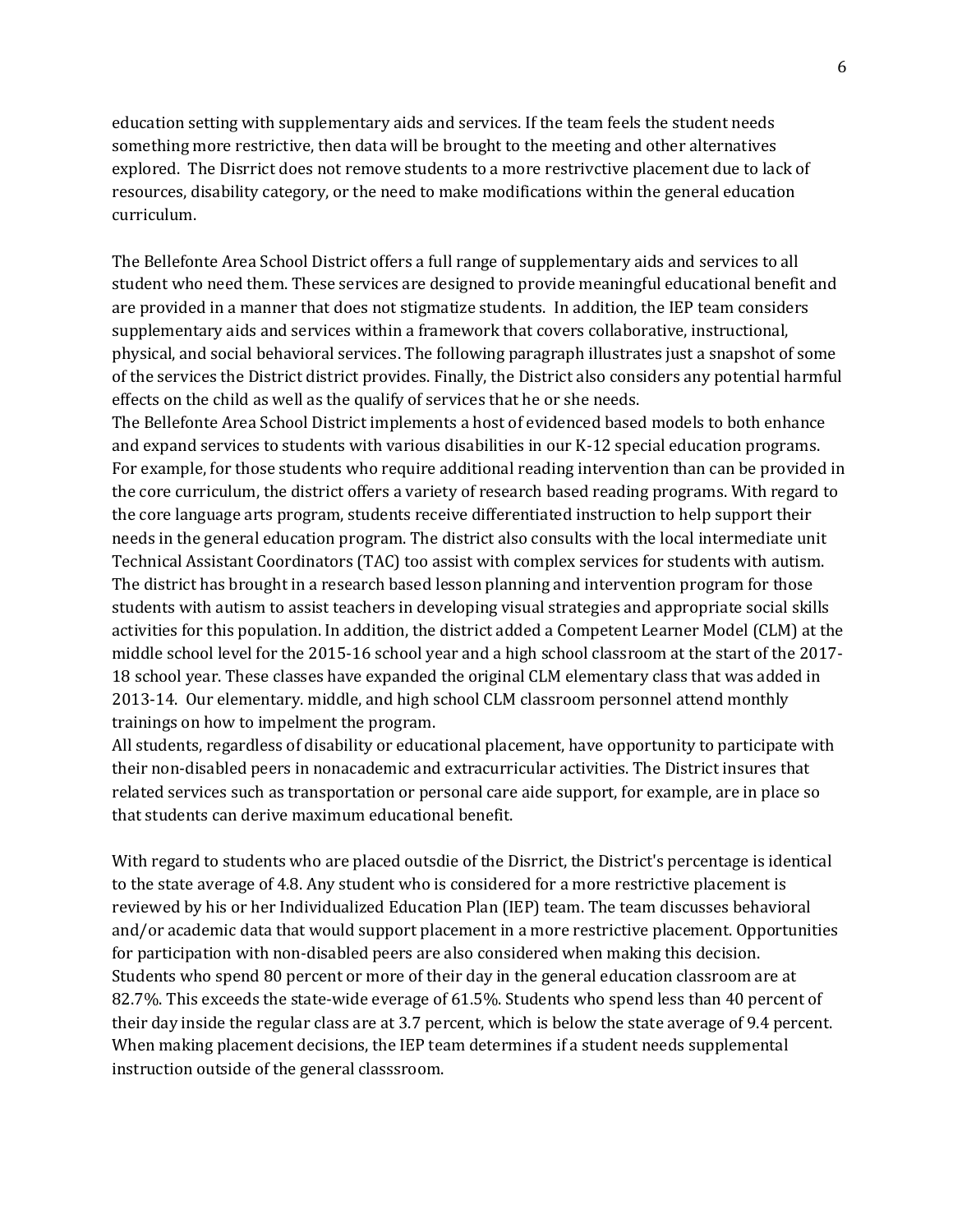education setting with supplementary aids and services. If the team feels the student needs something more restrictive, then data will be brought to the meeting and other alternatives explored. The Disrrict does not remove students to a more restrivctive placement due to lack of resources, disability category, or the need to make modifications within the general education curriculum.

The Bellefonte Area School District offers a full range of supplementary aids and services to all student who need them. These services are designed to provide meaningful educational benefit and are provided in a manner that does not stigmatize students. In addition, the IEP team considers supplementary aids and services within a framework that covers collaborative, instructional, physical, and social behavioral services. The following paragraph illustrates just a snapshot of some of the services the District district provides. Finally, the District also considers any potential harmful effects on the child as well as the qualify of services that he or she needs.

The Bellefonte Area School District implements a host of evidenced based models to both enhance and expand services to students with various disabilities in our K-12 special education programs. For example, for those students who require additional reading intervention than can be provided in the core curriculum, the district offers a variety of research based reading programs. With regard to the core language arts program, students receive differentiated instruction to help support their needs in the general education program. The district also consults with the local intermediate unit Technical Assistant Coordinators (TAC) too assist with complex services for students with autism. The district has brought in a research based lesson planning and intervention program for those students with autism to assist teachers in developing visual strategies and appropriate social skills activities for this population. In addition, the district added a Competent Learner Model (CLM) at the middle school level for the 2015-16 school year and a high school classroom at the start of the 2017- 18 school year. These classes have expanded the original CLM elementary class that was added in 2013-14. Our elementary. middle, and high school CLM classroom personnel attend monthly trainings on how to impelment the program.

All students, regardless of disability or educational placement, have opportunity to participate with their non-disabled peers in nonacademic and extracurricular activities. The District insures that related services such as transportation or personal care aide support, for example, are in place so that students can derive maximum educational benefit.

With regard to students who are placed outsdie of the Disrrict, the District's percentage is identical to the state average of 4.8. Any student who is considered for a more restrictive placement is reviewed by his or her Individualized Education Plan (IEP) team. The team discusses behavioral and/or academic data that would support placement in a more restrictive placement. Opportunities for participation with non-disabled peers are also considered when making this decision. Students who spend 80 percent or more of their day in the general education classroom are at 82.7%. This exceeds the state-wide everage of 61.5%. Students who spend less than 40 percent of their day inside the regular class are at 3.7 percent, which is below the state average of 9.4 percent. When making placement decisions, the IEP team determines if a student needs supplemental instruction outside of the general classsroom.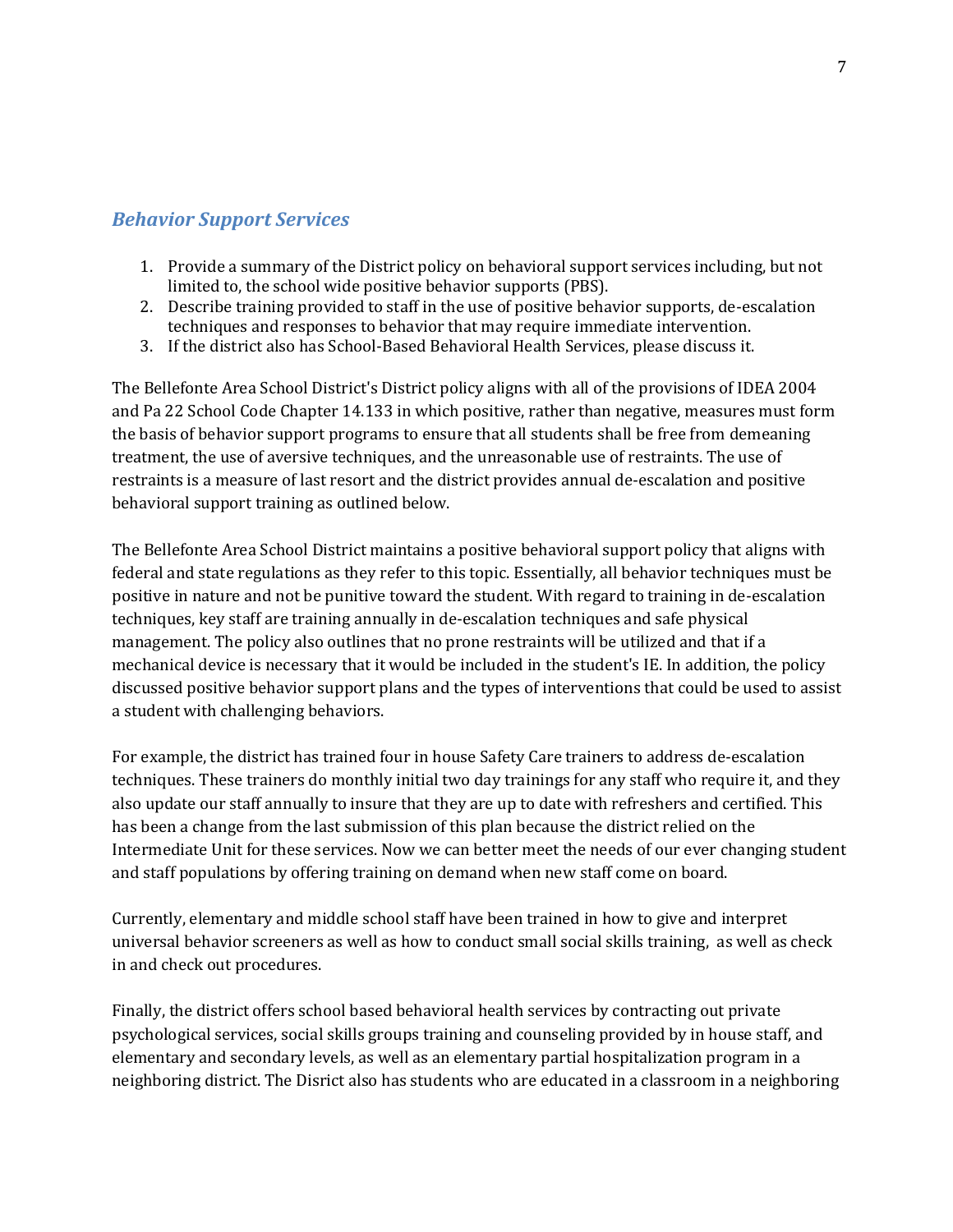#### *Behavior Support Services*

- 1. Provide a summary of the District policy on behavioral support services including, but not limited to, the school wide positive behavior supports (PBS).
- 2. Describe training provided to staff in the use of positive behavior supports, de-escalation techniques and responses to behavior that may require immediate intervention.
- 3. If the district also has School-Based Behavioral Health Services, please discuss it.

The Bellefonte Area School District's District policy aligns with all of the provisions of IDEA 2004 and Pa 22 School Code Chapter 14.133 in which positive, rather than negative, measures must form the basis of behavior support programs to ensure that all students shall be free from demeaning treatment, the use of aversive techniques, and the unreasonable use of restraints. The use of restraints is a measure of last resort and the district provides annual de-escalation and positive behavioral support training as outlined below.

The Bellefonte Area School District maintains a positive behavioral support policy that aligns with federal and state regulations as they refer to this topic. Essentially, all behavior techniques must be positive in nature and not be punitive toward the student. With regard to training in de-escalation techniques, key staff are training annually in de-escalation techniques and safe physical management. The policy also outlines that no prone restraints will be utilized and that if a mechanical device is necessary that it would be included in the student's IE. In addition, the policy discussed positive behavior support plans and the types of interventions that could be used to assist a student with challenging behaviors.

For example, the district has trained four in house Safety Care trainers to address de-escalation techniques. These trainers do monthly initial two day trainings for any staff who require it, and they also update our staff annually to insure that they are up to date with refreshers and certified. This has been a change from the last submission of this plan because the district relied on the Intermediate Unit for these services. Now we can better meet the needs of our ever changing student and staff populations by offering training on demand when new staff come on board.

Currently, elementary and middle school staff have been trained in how to give and interpret universal behavior screeners as well as how to conduct small social skills training, as well as check in and check out procedures.

Finally, the district offers school based behavioral health services by contracting out private psychological services, social skills groups training and counseling provided by in house staff, and elementary and secondary levels, as well as an elementary partial hospitalization program in a neighboring district. The Disrict also has students who are educated in a classroom in a neighboring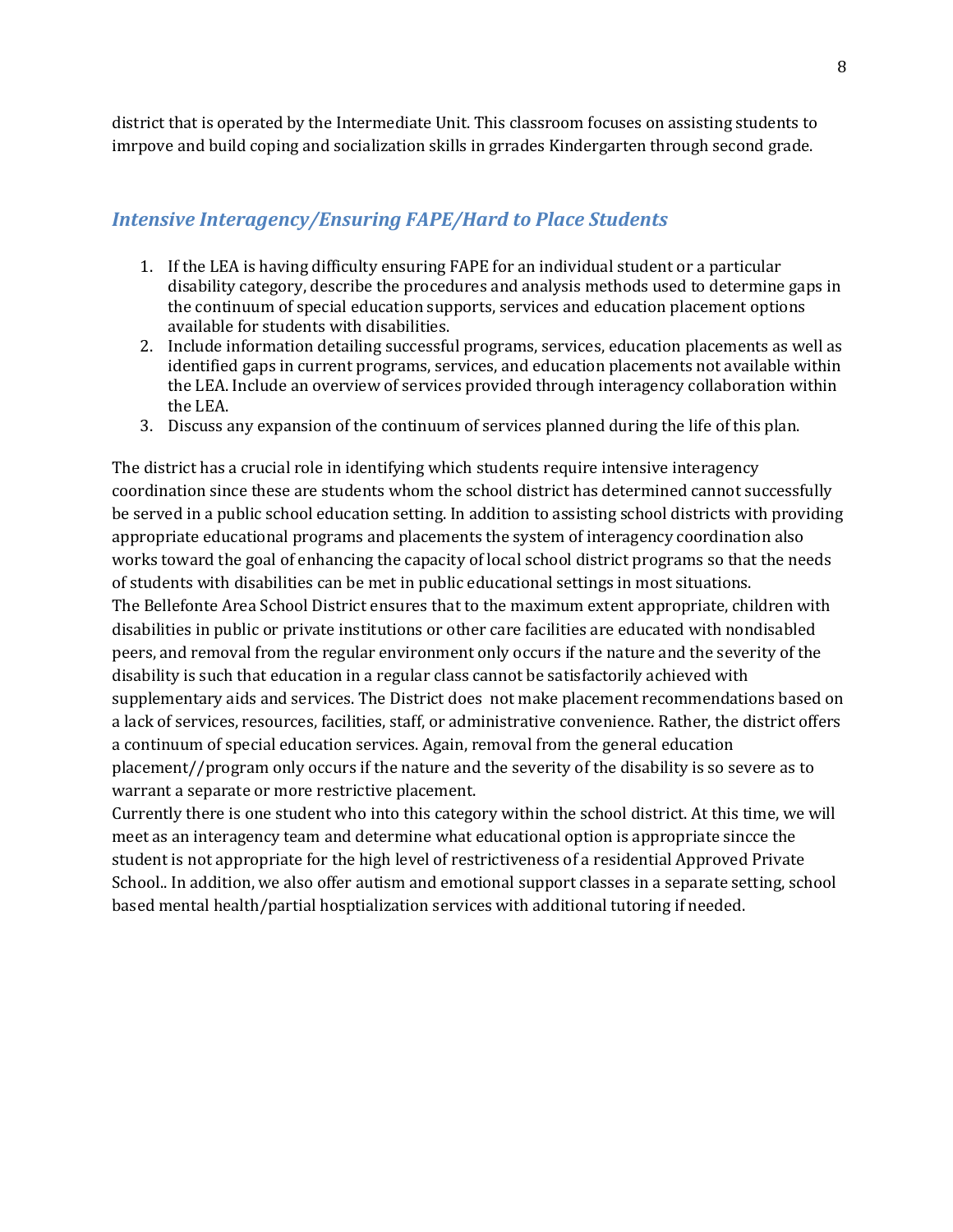district that is operated by the Intermediate Unit. This classroom focuses on assisting students to imrpove and build coping and socialization skills in grrades Kindergarten through second grade.

#### *Intensive Interagency/Ensuring FAPE/Hard to Place Students*

- 1. If the LEA is having difficulty ensuring FAPE for an individual student or a particular disability category, describe the procedures and analysis methods used to determine gaps in the continuum of special education supports, services and education placement options available for students with disabilities.
- 2. Include information detailing successful programs, services, education placements as well as identified gaps in current programs, services, and education placements not available within the LEA. Include an overview of services provided through interagency collaboration within the LEA.
- 3. Discuss any expansion of the continuum of services planned during the life of this plan.

The district has a crucial role in identifying which students require intensive interagency coordination since these are students whom the school district has determined cannot successfully be served in a public school education setting. In addition to assisting school districts with providing appropriate educational programs and placements the system of interagency coordination also works toward the goal of enhancing the capacity of local school district programs so that the needs of students with disabilities can be met in public educational settings in most situations. The Bellefonte Area School District ensures that to the maximum extent appropriate, children with disabilities in public or private institutions or other care facilities are educated with nondisabled peers, and removal from the regular environment only occurs if the nature and the severity of the disability is such that education in a regular class cannot be satisfactorily achieved with supplementary aids and services. The District does not make placement recommendations based on a lack of services, resources, facilities, staff, or administrative convenience. Rather, the district offers a continuum of special education services. Again, removal from the general education placement//program only occurs if the nature and the severity of the disability is so severe as to warrant a separate or more restrictive placement.

Currently there is one student who into this category within the school district. At this time, we will meet as an interagency team and determine what educational option is appropriate sincce the student is not appropriate for the high level of restrictiveness of a residential Approved Private School.. In addition, we also offer autism and emotional support classes in a separate setting, school based mental health/partial hosptialization services with additional tutoring if needed.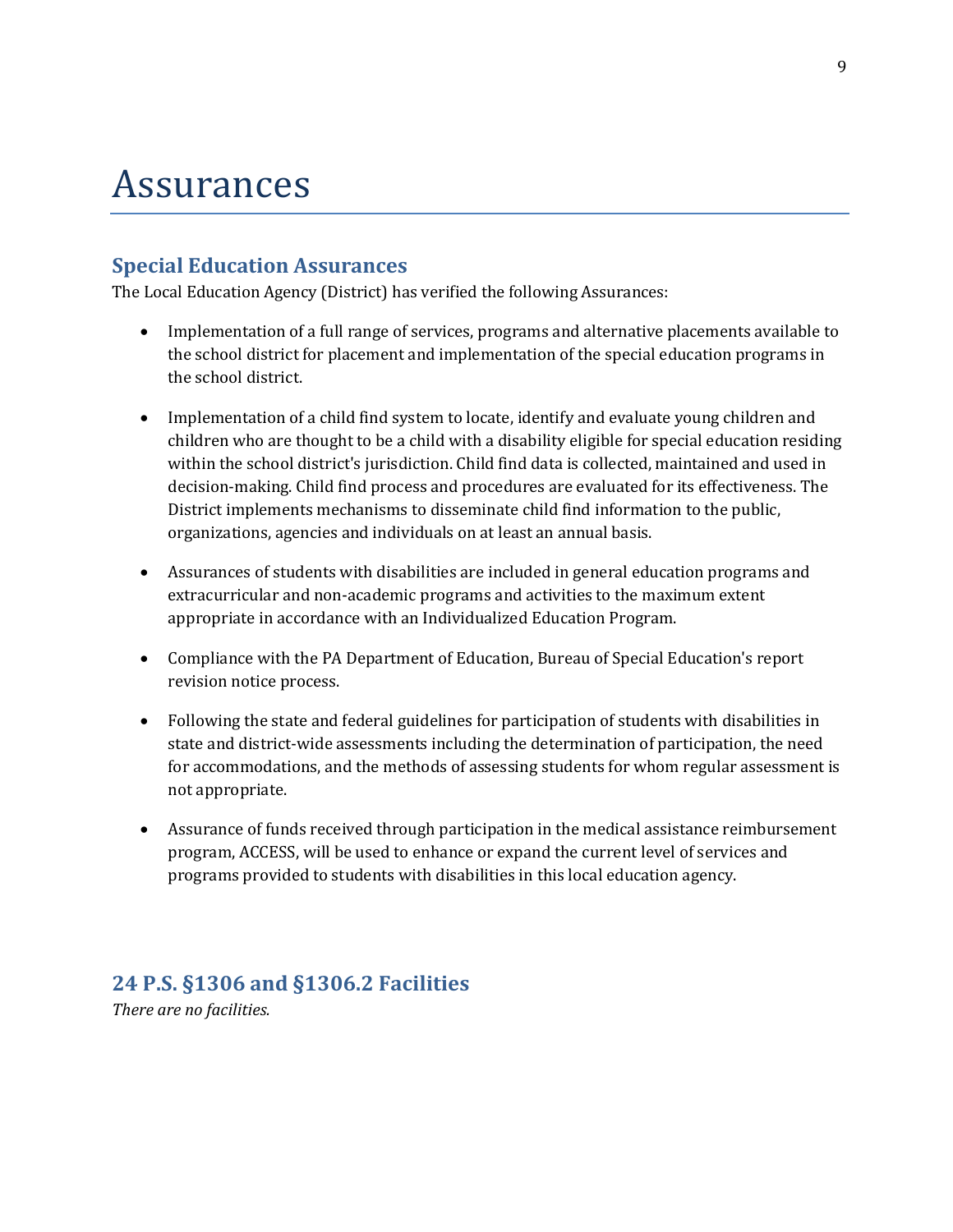## Assurances

### **Special Education Assurances**

The Local Education Agency (District) has verified the following Assurances:

- Implementation of a full range of services, programs and alternative placements available to the school district for placement and implementation of the special education programs in the school district.
- Implementation of a child find system to locate, identify and evaluate young children and children who are thought to be a child with a disability eligible for special education residing within the school district's jurisdiction. Child find data is collected, maintained and used in decision-making. Child find process and procedures are evaluated for its effectiveness. The District implements mechanisms to disseminate child find information to the public, organizations, agencies and individuals on at least an annual basis.
- Assurances of students with disabilities are included in general education programs and extracurricular and non-academic programs and activities to the maximum extent appropriate in accordance with an Individualized Education Program.
- Compliance with the PA Department of Education, Bureau of Special Education's report revision notice process.
- Following the state and federal guidelines for participation of students with disabilities in state and district-wide assessments including the determination of participation, the need for accommodations, and the methods of assessing students for whom regular assessment is not appropriate.
- Assurance of funds received through participation in the medical assistance reimbursement program, ACCESS, will be used to enhance or expand the current level of services and programs provided to students with disabilities in this local education agency.

### **24 P.S. §1306 and §1306.2 Facilities**

*There are no facilities.*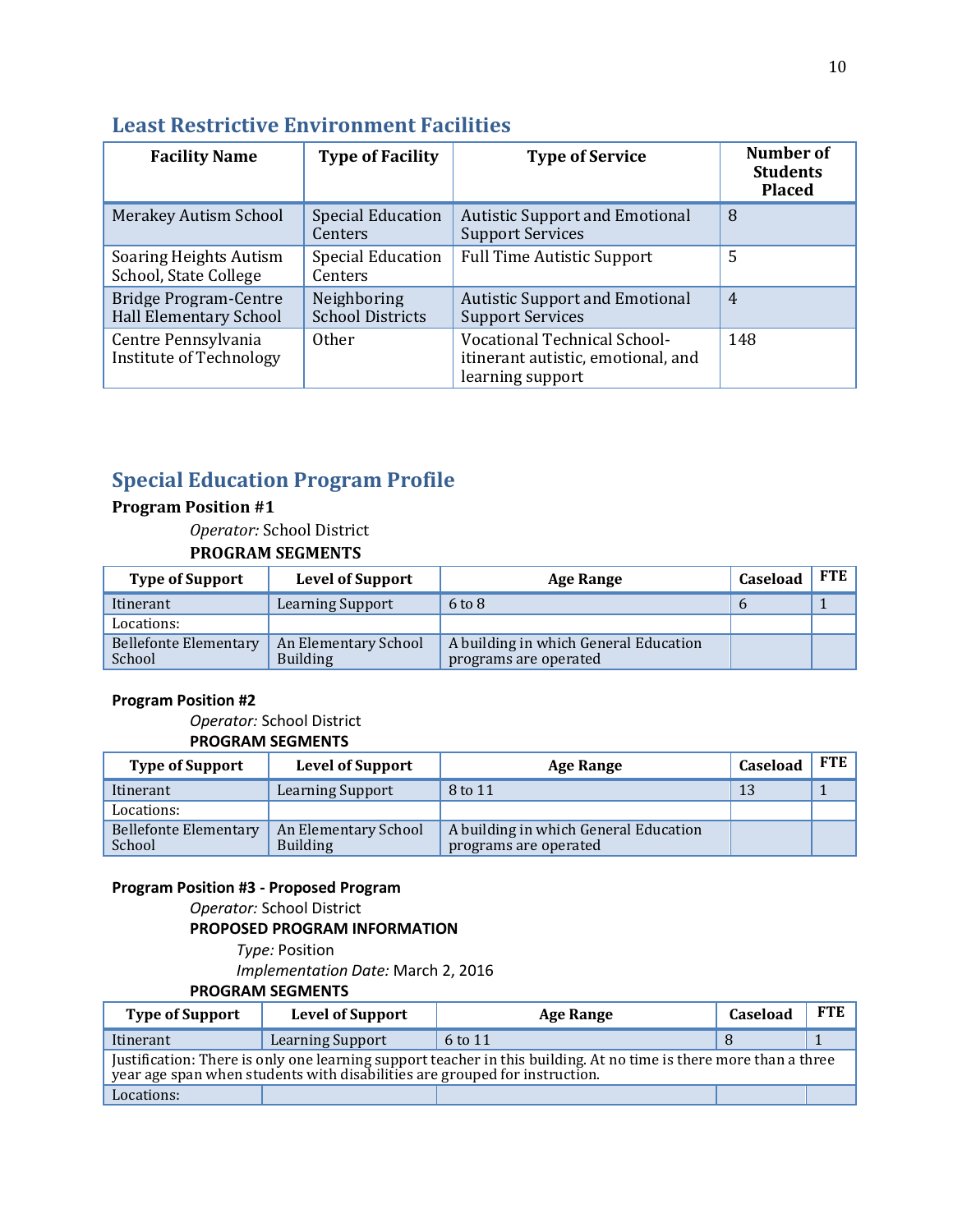| <b>Facility Name</b>                                          | <b>Type of Facility</b>                | <b>Type of Service</b>                                                                 | Number of<br><b>Students</b><br><b>Placed</b> |
|---------------------------------------------------------------|----------------------------------------|----------------------------------------------------------------------------------------|-----------------------------------------------|
| <b>Merakey Autism School</b>                                  | <b>Special Education</b><br>Centers    | <b>Autistic Support and Emotional</b><br><b>Support Services</b>                       | 8                                             |
| <b>Soaring Heights Autism</b><br>School, State College        | <b>Special Education</b><br>Centers    | <b>Full Time Autistic Support</b>                                                      | 5                                             |
| <b>Bridge Program-Centre</b><br><b>Hall Elementary School</b> | Neighboring<br><b>School Districts</b> | <b>Autistic Support and Emotional</b><br><b>Support Services</b>                       | $\overline{4}$                                |
| Centre Pennsylvania<br>Institute of Technology                | <b>Other</b>                           | Vocational Technical School-<br>itinerant autistic, emotional, and<br>learning support | 148                                           |

### **Least Restrictive Environment Facilities**

### **Special Education Program Profile**

**Program Position #1**

*Operator:* School District

#### **PROGRAM SEGMENTS**

| <b>Type of Support</b>          | <b>Level of Support</b>                 | <b>Age Range</b>                                               | Caseload | <b>FTE</b> |
|---------------------------------|-----------------------------------------|----------------------------------------------------------------|----------|------------|
| Itinerant                       | Learning Support                        | $6$ to $8$                                                     |          |            |
| Locations:                      |                                         |                                                                |          |            |
| Bellefonte Elementary<br>School | An Elementary School<br><b>Building</b> | A building in which General Education<br>programs are operated |          |            |

#### **Program Position #2**

*Operator:* School District **PROGRAM SEGMENTS**

| <b>Type of Support</b>          | <b>Level of Support</b>                 | <b>Age Range</b>                                               | Caseload | FTE |
|---------------------------------|-----------------------------------------|----------------------------------------------------------------|----------|-----|
| Itinerant                       | <b>Learning Support</b>                 | 8 to 11                                                        | 13       |     |
| Locations:                      |                                         |                                                                |          |     |
| Bellefonte Elementary<br>School | An Elementary School<br><b>Building</b> | A building in which General Education<br>programs are operated |          |     |

#### **Program Position #3 - Proposed Program**

*Operator:* School District

**PROPOSED PROGRAM INFORMATION**

*Type:* Position *Implementation Date:* March 2, 2016 **PROGRAM SEGMENTS**

| <b>Type of Support</b>                                                                                                                                                                          | <b>Level of Support</b> | <b>Age Range</b> | Caseload | <b>FTE</b> |  |
|-------------------------------------------------------------------------------------------------------------------------------------------------------------------------------------------------|-------------------------|------------------|----------|------------|--|
| Itinerant                                                                                                                                                                                       | <b>Learning Support</b> | 6 to 11          |          |            |  |
| Justification: There is only one learning support teacher in this building. At no time is there more than a three<br>year age span when students with disabilities are grouped for instruction. |                         |                  |          |            |  |
| Locations:                                                                                                                                                                                      |                         |                  |          |            |  |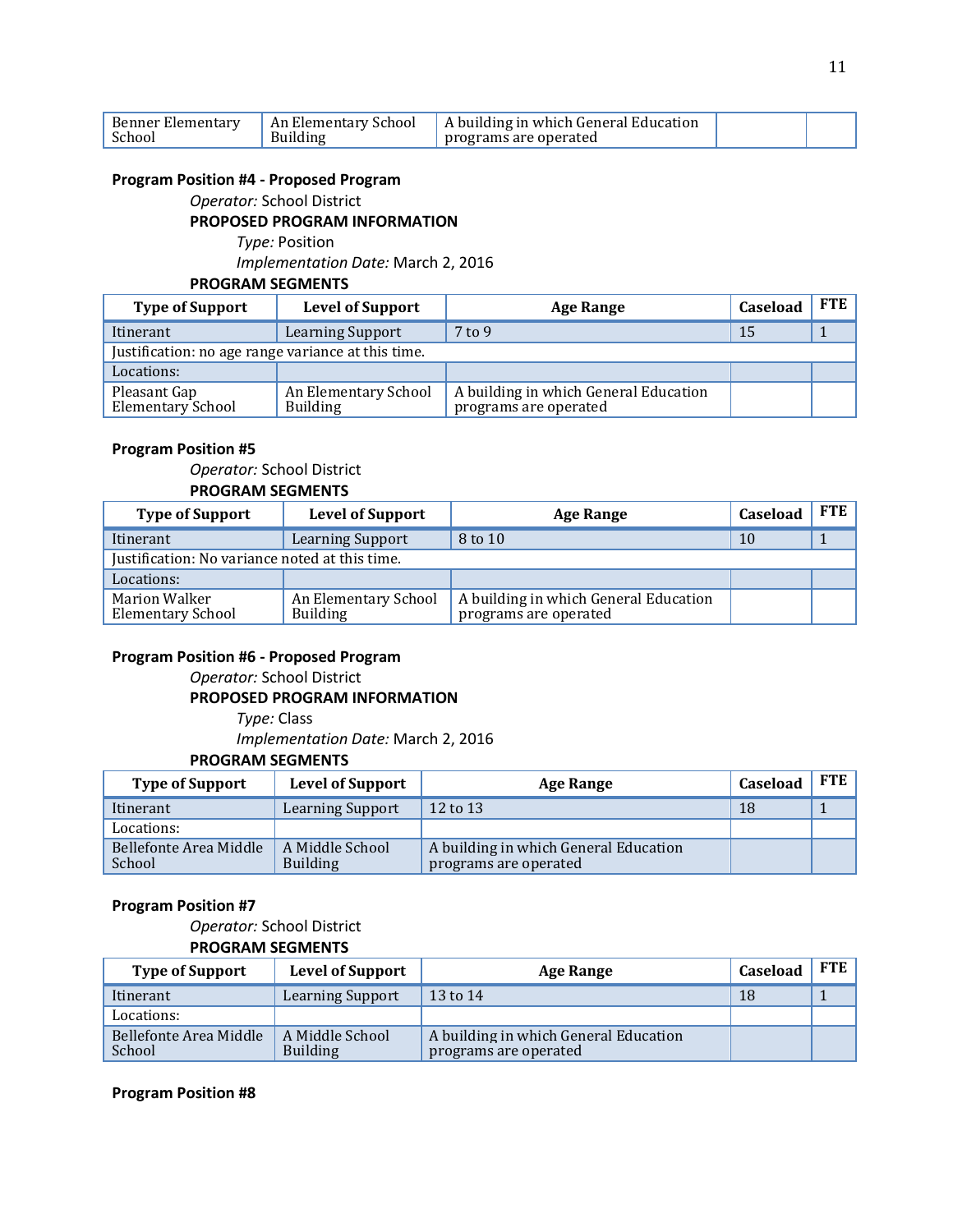| Benner Elementary | An Elementary School | A building in which General Education |  |
|-------------------|----------------------|---------------------------------------|--|
| School            | Building             | programs are operated                 |  |

#### **Program Position #4 - Proposed Program**

*Operator:* School District

#### **PROPOSED PROGRAM INFORMATION**

*Type:* Position

*Implementation Date:* March 2, 2016

#### **PROGRAM SEGMENTS**

| <b>Type of Support</b>                             | <b>Level of Support</b>                 | <b>Age Range</b>                                               | Caseload | <b>FTE</b> |
|----------------------------------------------------|-----------------------------------------|----------------------------------------------------------------|----------|------------|
| Itinerant                                          | <b>Learning Support</b>                 | $7$ to 9                                                       | 15       |            |
| Justification: no age range variance at this time. |                                         |                                                                |          |            |
| Locations:                                         |                                         |                                                                |          |            |
| Pleasant Gap<br>Elementary School                  | An Elementary School<br><b>Building</b> | A building in which General Education<br>programs are operated |          |            |

#### **Program Position #5**

#### *Operator:* School District **PROGRAM SEGMENTS**

| <b>Type of Support</b>                           | <b>Level of Support</b>                 | <b>Age Range</b>                                               | Caseload | <b>FTE</b> |
|--------------------------------------------------|-----------------------------------------|----------------------------------------------------------------|----------|------------|
| Itinerant                                        | <b>Learning Support</b>                 | 8 to 10                                                        | 10       |            |
| Justification: No variance noted at this time.   |                                         |                                                                |          |            |
| Locations:                                       |                                         |                                                                |          |            |
| <b>Marion Walker</b><br><b>Elementary School</b> | An Elementary School<br><b>Building</b> | A building in which General Education<br>programs are operated |          |            |

#### **Program Position #6 - Proposed Program**

*Operator:* School District

#### **PROPOSED PROGRAM INFORMATION**

*Type:* Class *Implementation Date:* March 2, 2016 **PROGRAM SEGMENTS**

#### **Type of Support Level of Support Age Range Caseload FTE** Itinerant Learning Support 12 to 13 18 18 1 Locations: Bellefonte Area Middle School A Middle School Building A building in which General Education programs are operated

#### **Program Position #7**

#### *Operator:* School District **PROGRAM SEGMENTS**

| <b>Type of Support</b>           | <b>Level of Support</b>            | <b>Age Range</b>                                               | Caseload | <b>FTE</b> |
|----------------------------------|------------------------------------|----------------------------------------------------------------|----------|------------|
| Itinerant                        | <b>Learning Support</b>            | $13$ to $14$                                                   | 18       |            |
| Locations:                       |                                    |                                                                |          |            |
| Bellefonte Area Middle<br>School | A Middle School<br><b>Building</b> | A building in which General Education<br>programs are operated |          |            |

#### **Program Position #8**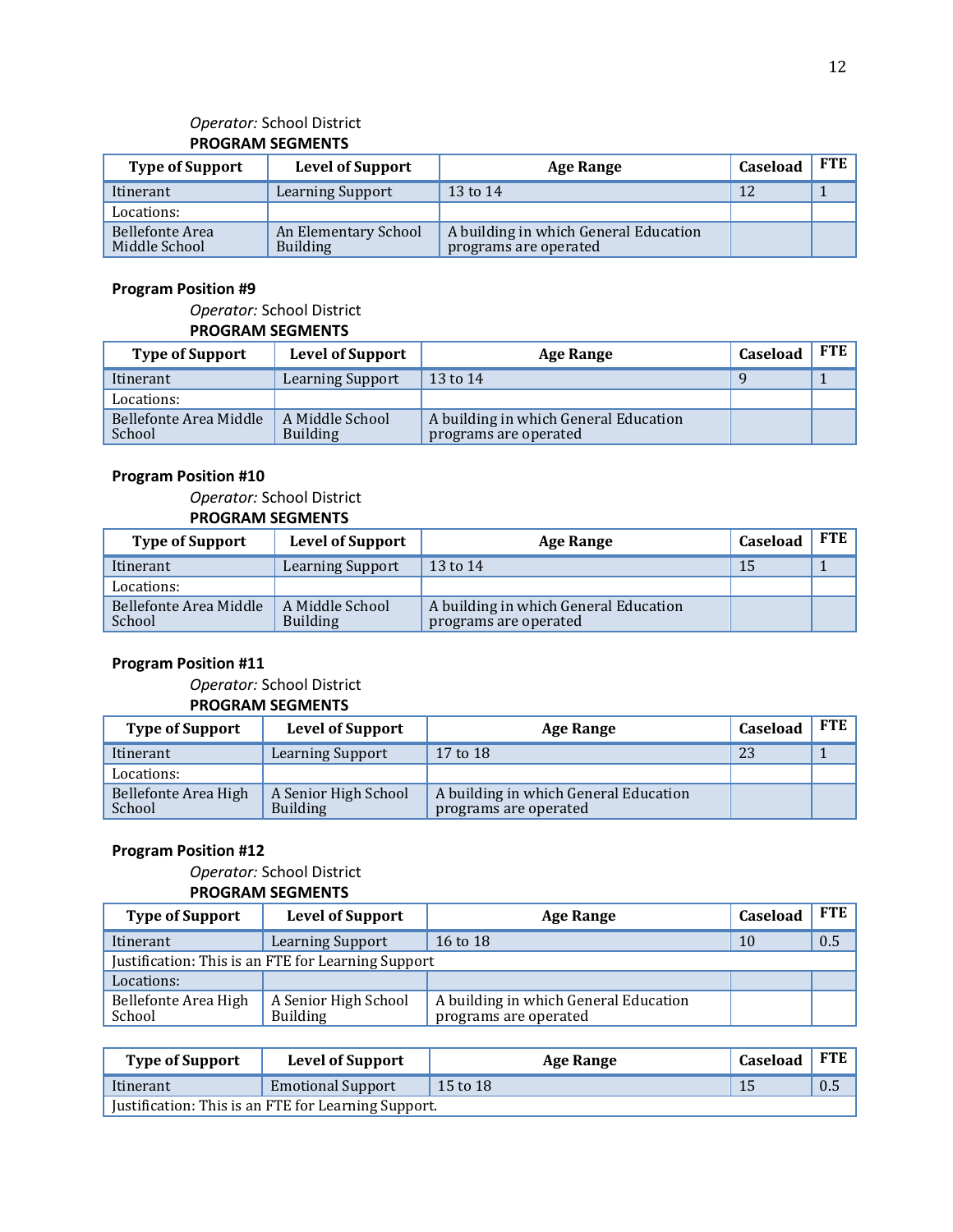#### *Operator:* School District **PROGRAM SEGMENTS**

| <b>Type of Support</b>           | <b>Level of Support</b>                 | <b>Age Range</b>                                               | Caseload | <b>FTE</b> |
|----------------------------------|-----------------------------------------|----------------------------------------------------------------|----------|------------|
| Itinerant                        | <b>Learning Support</b>                 | 13 to 14                                                       | 12       |            |
| Locations:                       |                                         |                                                                |          |            |
| Bellefonte Area<br>Middle School | An Elementary School<br><b>Building</b> | A building in which General Education<br>programs are operated |          |            |

#### **Program Position #9**

#### *Operator:* School District **PROGRAM SEGMENTS**

| <b>Type of Support</b>           | <b>Level of Support</b>            | Age Range                                                      | Caseload | FTE |
|----------------------------------|------------------------------------|----------------------------------------------------------------|----------|-----|
| Itinerant                        | <b>Learning Support</b>            | 13 to 14                                                       |          |     |
| Locations:                       |                                    |                                                                |          |     |
| Bellefonte Area Middle<br>School | A Middle School<br><b>Building</b> | A building in which General Education<br>programs are operated |          |     |

#### **Program Position #10**

*Operator:* School District **PROGRAM SEGMENTS**

| <b>Type of Support</b>           | <b>Level of Support</b>            | <b>Age Range</b>                                               | Caseload | <b>FTE</b> |
|----------------------------------|------------------------------------|----------------------------------------------------------------|----------|------------|
| Itinerant                        | <b>Learning Support</b>            | 13 to 14                                                       | 15       |            |
| Locations:                       |                                    |                                                                |          |            |
| Bellefonte Area Middle<br>School | A Middle School<br><b>Building</b> | A building in which General Education<br>programs are operated |          |            |

#### **Program Position #11**

#### *Operator:* School District **PROGRAM SEGMENTS**

| <b>Type of Support</b>         | <b>Level of Support</b>                 | Age Range                                                      | Caseload | <b>FTE</b> |
|--------------------------------|-----------------------------------------|----------------------------------------------------------------|----------|------------|
| Itinerant                      | Learning Support                        | 17 to 18                                                       | 23       |            |
| Locations:                     |                                         |                                                                |          |            |
| Bellefonte Area High<br>School | A Senior High School<br><b>Building</b> | A building in which General Education<br>programs are operated |          |            |

#### **Program Position #12**

#### *Operator:* School District **PROGRAM SEGMENTS**

| <b>Type of Support</b>         | <b>Level of Support</b>                            | Age Range                                                      | <b>Caseload</b> | <b>FTE</b> |
|--------------------------------|----------------------------------------------------|----------------------------------------------------------------|-----------------|------------|
| Itinerant                      | Learning Support                                   | 16 to 18                                                       | 10              | 0.5        |
|                                | Justification: This is an FTE for Learning Support |                                                                |                 |            |
| Locations:                     |                                                    |                                                                |                 |            |
| Bellefonte Area High<br>School | A Senior High School<br><b>Building</b>            | A building in which General Education<br>programs are operated |                 |            |

| <b>Type of Support</b>                              | <b>Level of Support</b>  | Age Range | Caseload | FTE |  |
|-----------------------------------------------------|--------------------------|-----------|----------|-----|--|
| Itinerant                                           | <b>Emotional Support</b> | 15 to 18  | 15       | 0.5 |  |
| Justification: This is an FTE for Learning Support. |                          |           |          |     |  |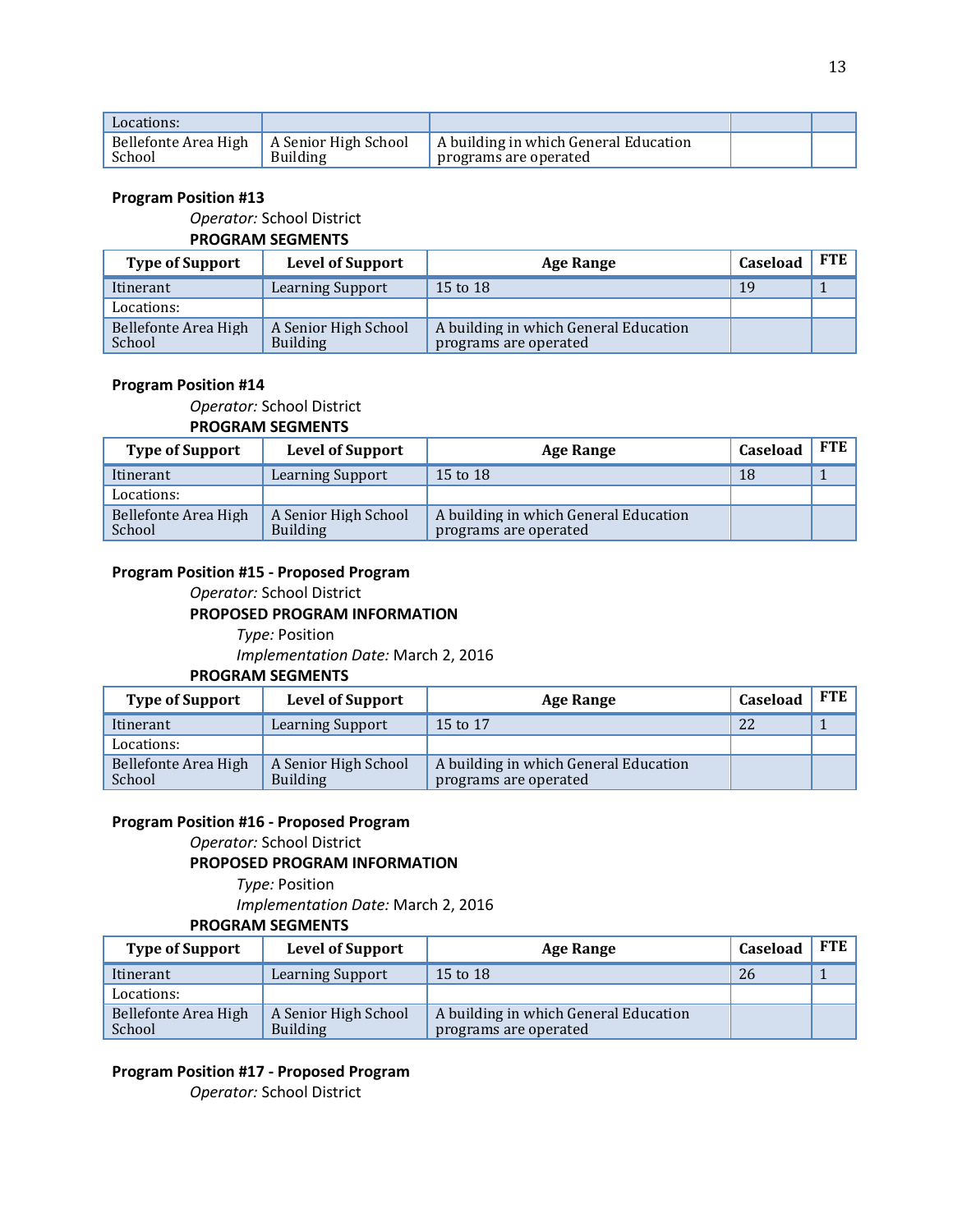| Locations:                     |                                  |                                                                |  |
|--------------------------------|----------------------------------|----------------------------------------------------------------|--|
| Bellefonte Area High<br>School | A Senior High School<br>Building | A building in which General Education<br>programs are operated |  |

#### **Program Position #13**

#### *Operator:* School District

#### **PROGRAM SEGMENTS**

| <b>Type of Support</b>         | <b>Level of Support</b>                 | <b>Age Range</b>                                               | Caseload | <b>FTE</b> |
|--------------------------------|-----------------------------------------|----------------------------------------------------------------|----------|------------|
| Itinerant                      | Learning Support                        | 15 to 18                                                       | 19       |            |
| Locations:                     |                                         |                                                                |          |            |
| Bellefonte Area High<br>School | A Senior High School<br><b>Building</b> | A building in which General Education<br>programs are operated |          |            |

#### **Program Position #14**

#### *Operator:* School District **PROGRAM SEGMENTS**

| <b>Type of Support</b>         | <b>Level of Support</b>                 | <b>Age Range</b>                                               | Caseload | <b>FTE</b> |
|--------------------------------|-----------------------------------------|----------------------------------------------------------------|----------|------------|
| Itinerant                      | <b>Learning Support</b>                 | 15 to 18                                                       | 18       |            |
| Locations:                     |                                         |                                                                |          |            |
| Bellefonte Area High<br>School | A Senior High School<br><b>Building</b> | A building in which General Education<br>programs are operated |          |            |

#### **Program Position #15 - Proposed Program**

*Operator:* School District

#### **PROPOSED PROGRAM INFORMATION**

*Type:* Position *Implementation Date:* March 2, 2016

#### **PROGRAM SEGMENTS**

| <b>Type of Support</b>         | <b>Level of Support</b>                 | Age Range                                                      | Caseload | <b>FTE</b> |
|--------------------------------|-----------------------------------------|----------------------------------------------------------------|----------|------------|
| Itinerant                      | <b>Learning Support</b>                 | 15 to 17                                                       | 22       |            |
| Locations:                     |                                         |                                                                |          |            |
| Bellefonte Area High<br>School | A Senior High School<br><b>Building</b> | A building in which General Education<br>programs are operated |          |            |

#### **Program Position #16 - Proposed Program**

*Operator:* School District

#### **PROPOSED PROGRAM INFORMATION**

*Type:* Position

*Implementation Date:* March 2, 2016

#### **PROGRAM SEGMENTS**

| <b>Type of Support</b>         | <b>Level of Support</b>                 | <b>Age Range</b>                                               | Caseload | <b>FTE</b> |
|--------------------------------|-----------------------------------------|----------------------------------------------------------------|----------|------------|
| Itinerant                      | <b>Learning Support</b>                 | 15 to 18                                                       | 26       |            |
| Locations:                     |                                         |                                                                |          |            |
| Bellefonte Area High<br>School | A Senior High School<br><b>Building</b> | A building in which General Education<br>programs are operated |          |            |

#### **Program Position #17 - Proposed Program**

*Operator:* School District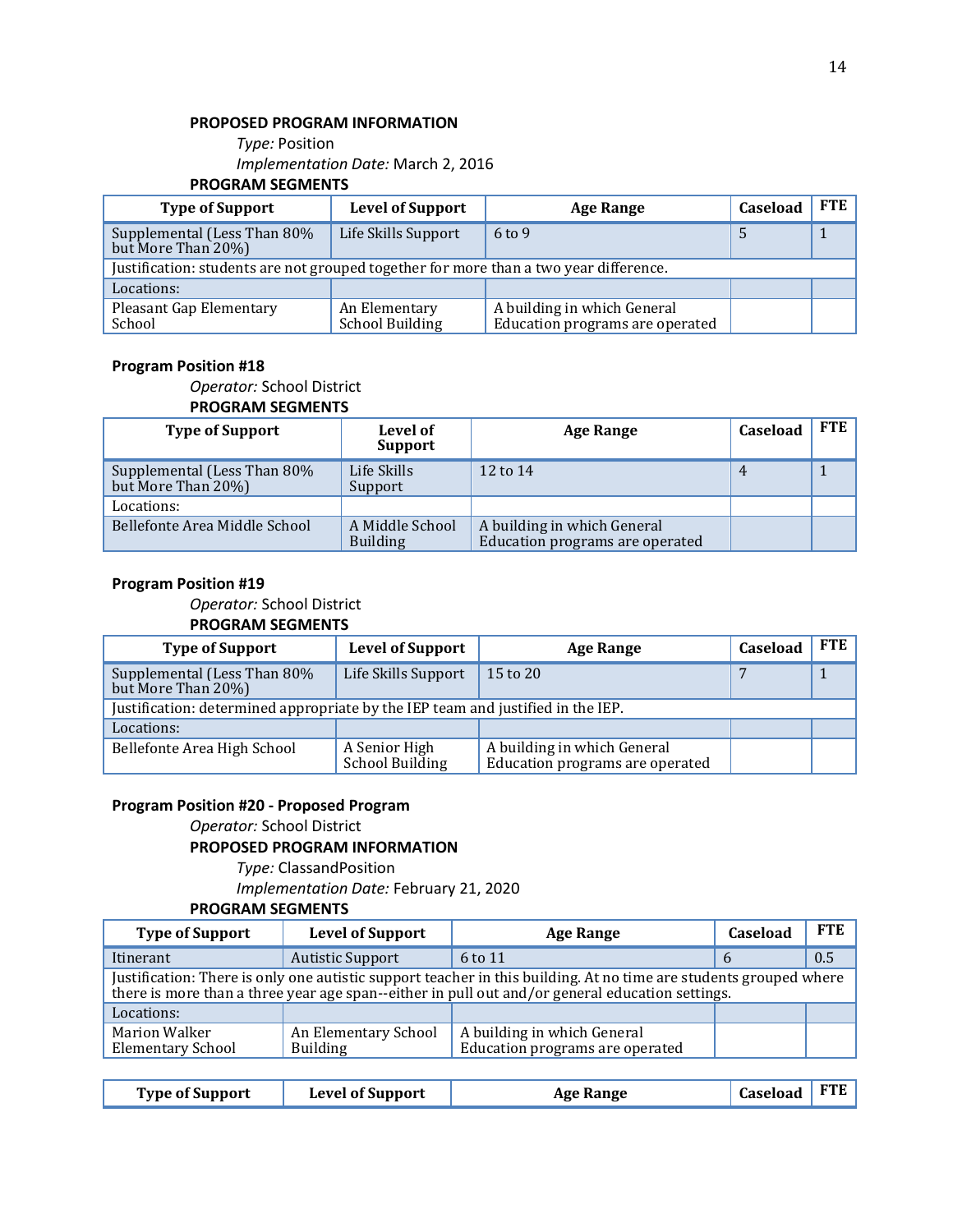#### **PROPOSED PROGRAM INFORMATION**

*Type:* Position *Implementation Date:* March 2, 2016

#### **PROGRAM SEGMENTS**

| <b>Type of Support</b>                                                                | <b>Level of Support</b>          | <b>Age Range</b>                                               | Caseload | <b>FTE</b> |
|---------------------------------------------------------------------------------------|----------------------------------|----------------------------------------------------------------|----------|------------|
| Supplemental (Less Than 80%<br>but More Than 20%)                                     | Life Skills Support              | $6 \text{ to } 9$                                              |          |            |
| Justification: students are not grouped together for more than a two year difference. |                                  |                                                                |          |            |
| Locations:                                                                            |                                  |                                                                |          |            |
| <b>Pleasant Gap Elementary</b><br>School                                              | An Elementary<br>School Building | A building in which General<br>Education programs are operated |          |            |

#### **Program Position #18**

*Operator:* School District

#### **PROGRAM SEGMENTS**

| <b>Type of Support</b>                            | Level of<br>Support                | <b>Age Range</b>                                               | <b>Caseload</b> | <b>FTE</b> |
|---------------------------------------------------|------------------------------------|----------------------------------------------------------------|-----------------|------------|
| Supplemental (Less Than 80%<br>but More Than 20%) | Life Skills<br>Support             | 12 to 14                                                       | 4               |            |
| Locations:                                        |                                    |                                                                |                 |            |
| Bellefonte Area Middle School                     | A Middle School<br><b>Building</b> | A building in which General<br>Education programs are operated |                 |            |

#### **Program Position #19**

*Operator:* School District **PROGRAM SEGMENTS**

| <b>Type of Support</b>                                                          | <b>Level of Support</b>          | <b>Age Range</b>                                               | Caseload | <b>FTE</b> |
|---------------------------------------------------------------------------------|----------------------------------|----------------------------------------------------------------|----------|------------|
| Supplemental (Less Than 80%<br>but More Than 20%)                               | Life Skills Support              | $15$ to $20$                                                   |          |            |
| Justification: determined appropriate by the IEP team and justified in the IEP. |                                  |                                                                |          |            |
| Locations:                                                                      |                                  |                                                                |          |            |
| Bellefonte Area High School                                                     | A Senior High<br>School Building | A building in which General<br>Education programs are operated |          |            |

#### **Program Position #20 - Proposed Program**

*Operator:* School District

#### **PROPOSED PROGRAM INFORMATION**

*Type:* ClassandPosition

*Implementation Date:* February 21, 2020

#### **PROGRAM SEGMENTS**

| <b>Type of Support</b>                                                                                                                                                                                              | <b>Level of Support</b>                 | Age Range                                                      | Caseload      | <b>FTE</b> |
|---------------------------------------------------------------------------------------------------------------------------------------------------------------------------------------------------------------------|-----------------------------------------|----------------------------------------------------------------|---------------|------------|
| Itinerant                                                                                                                                                                                                           | <b>Autistic Support</b>                 | 6 to 11                                                        | $\mathfrak b$ | 0.5        |
| Justification: There is only one autistic support teacher in this building. At no time are students grouped where<br>there is more than a three year age span-either in pull out and/or general education settings. |                                         |                                                                |               |            |
| Locations:                                                                                                                                                                                                          |                                         |                                                                |               |            |
| <b>Marion Walker</b><br><b>Elementary School</b>                                                                                                                                                                    | An Elementary School<br><b>Building</b> | A building in which General<br>Education programs are operated |               |            |

| <b>Type of Support</b> | <b>Level of Support</b> | <b>Age Range</b> | Caseload FTE |  |
|------------------------|-------------------------|------------------|--------------|--|
|                        |                         |                  |              |  |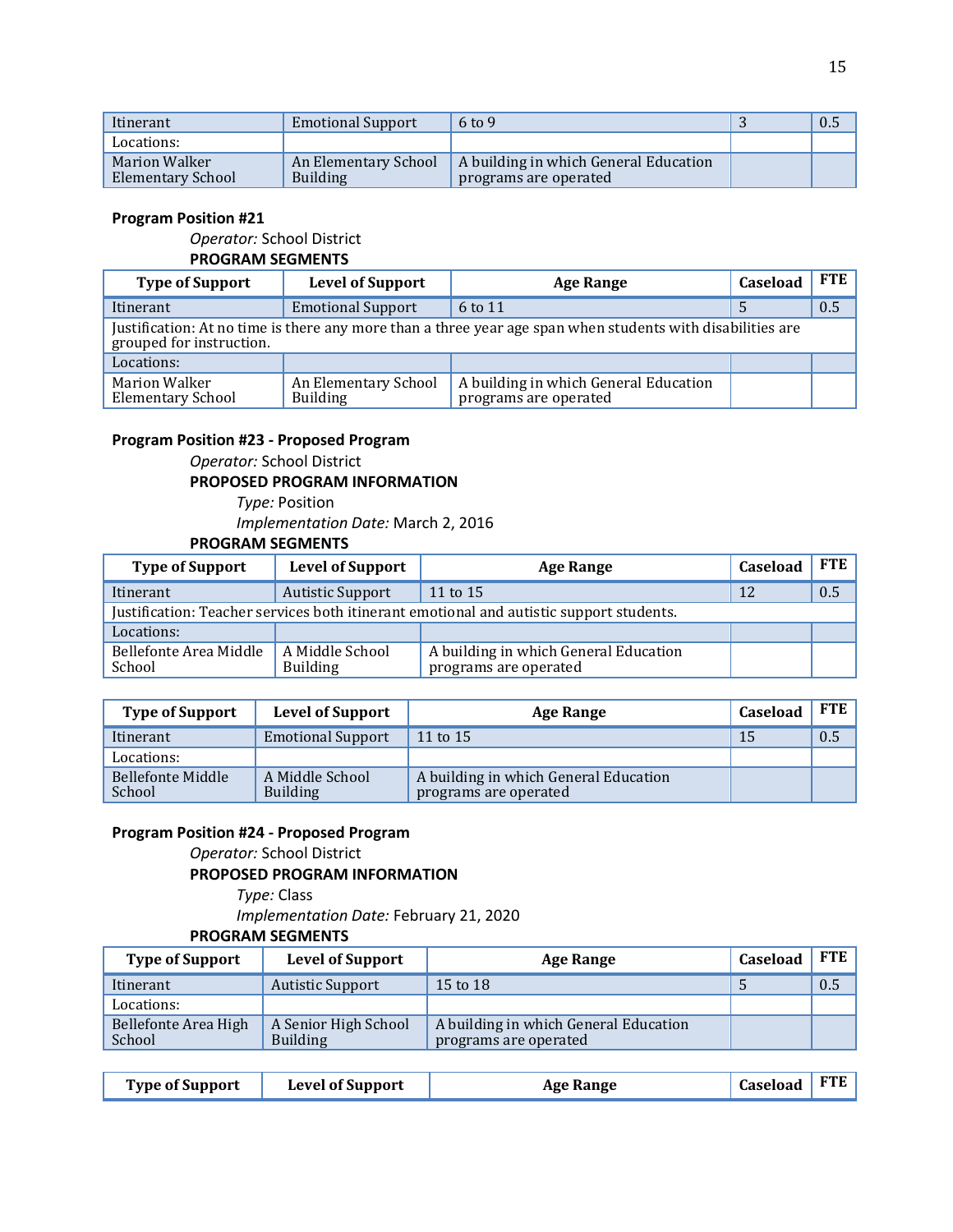| Itinerant                          | <b>Emotional Support</b>                | $6 \text{ to } 9$                                              | 0.5 |
|------------------------------------|-----------------------------------------|----------------------------------------------------------------|-----|
| Locations:                         |                                         |                                                                |     |
| Marion Walker<br>Elementary School | An Elementary School<br><b>Building</b> | A building in which General Education<br>programs are operated |     |

#### **Program Position #21**

*Operator:* School District

#### **PROGRAM SEGMENTS**

| <b>Type of Support</b>                                                                                                                 | <b>Level of Support</b>                 | <b>Age Range</b>                                               | Caseload | <b>FTE</b> |  |
|----------------------------------------------------------------------------------------------------------------------------------------|-----------------------------------------|----------------------------------------------------------------|----------|------------|--|
| Itinerant                                                                                                                              | <b>Emotional Support</b>                | 6 to 11                                                        |          | 0.5        |  |
| Justification: At no time is there any more than a three year age span when students with disabilities are<br>grouped for instruction. |                                         |                                                                |          |            |  |
| Locations:                                                                                                                             |                                         |                                                                |          |            |  |
| <b>Marion Walker</b><br><b>Elementary School</b>                                                                                       | An Elementary School<br><b>Building</b> | A building in which General Education<br>programs are operated |          |            |  |

#### **Program Position #23 - Proposed Program**

*Operator:* School District

#### **PROPOSED PROGRAM INFORMATION**

*Type:* Position *Implementation Date:* March 2, 2016

#### **PROGRAM SEGMENTS**

| <b>Type of Support</b>                                                                  | <b>Level of Support</b>            | <b>Age Range</b>                                               | Caseload | <b>FTE</b> |
|-----------------------------------------------------------------------------------------|------------------------------------|----------------------------------------------------------------|----------|------------|
| Itinerant                                                                               | <b>Autistic Support</b>            | 11 to 15                                                       | 12       | 0.5        |
| Justification: Teacher services both itinerant emotional and autistic support students. |                                    |                                                                |          |            |
| Locations:                                                                              |                                    |                                                                |          |            |
| Bellefonte Area Middle<br>School                                                        | A Middle School<br><b>Building</b> | A building in which General Education<br>programs are operated |          |            |

| <b>Type of Support</b>      | <b>Level of Support</b>            | <b>Age Range</b>                                               | Caseload | <b>FTE</b> |
|-----------------------------|------------------------------------|----------------------------------------------------------------|----------|------------|
| Itinerant                   | <b>Emotional Support</b>           | 11 to 15                                                       | 15       | 0.5        |
| Locations:                  |                                    |                                                                |          |            |
| Bellefonte Middle<br>School | A Middle School<br><b>Building</b> | A building in which General Education<br>programs are operated |          |            |

#### **Program Position #24 - Proposed Program**

*Operator:* School District

#### **PROPOSED PROGRAM INFORMATION**

*Type:* Class

*Implementation Date:* February 21, 2020

#### **PROGRAM SEGMENTS**

| <b>Type of Support</b>         | <b>Level of Support</b>                 | <b>Age Range</b>                                               | Caseload | <b>FTE</b> |
|--------------------------------|-----------------------------------------|----------------------------------------------------------------|----------|------------|
| Itinerant                      | Autistic Support                        | 15 to 18                                                       |          | 0.5        |
| Locations:                     |                                         |                                                                |          |            |
| Bellefonte Area High<br>School | A Senior High School<br><b>Building</b> | A building in which General Education<br>programs are operated |          |            |

| <b>Type of Support</b> | <b>Level of Support</b> | <b>Age Range</b> | Caseload FTE |  |
|------------------------|-------------------------|------------------|--------------|--|
|------------------------|-------------------------|------------------|--------------|--|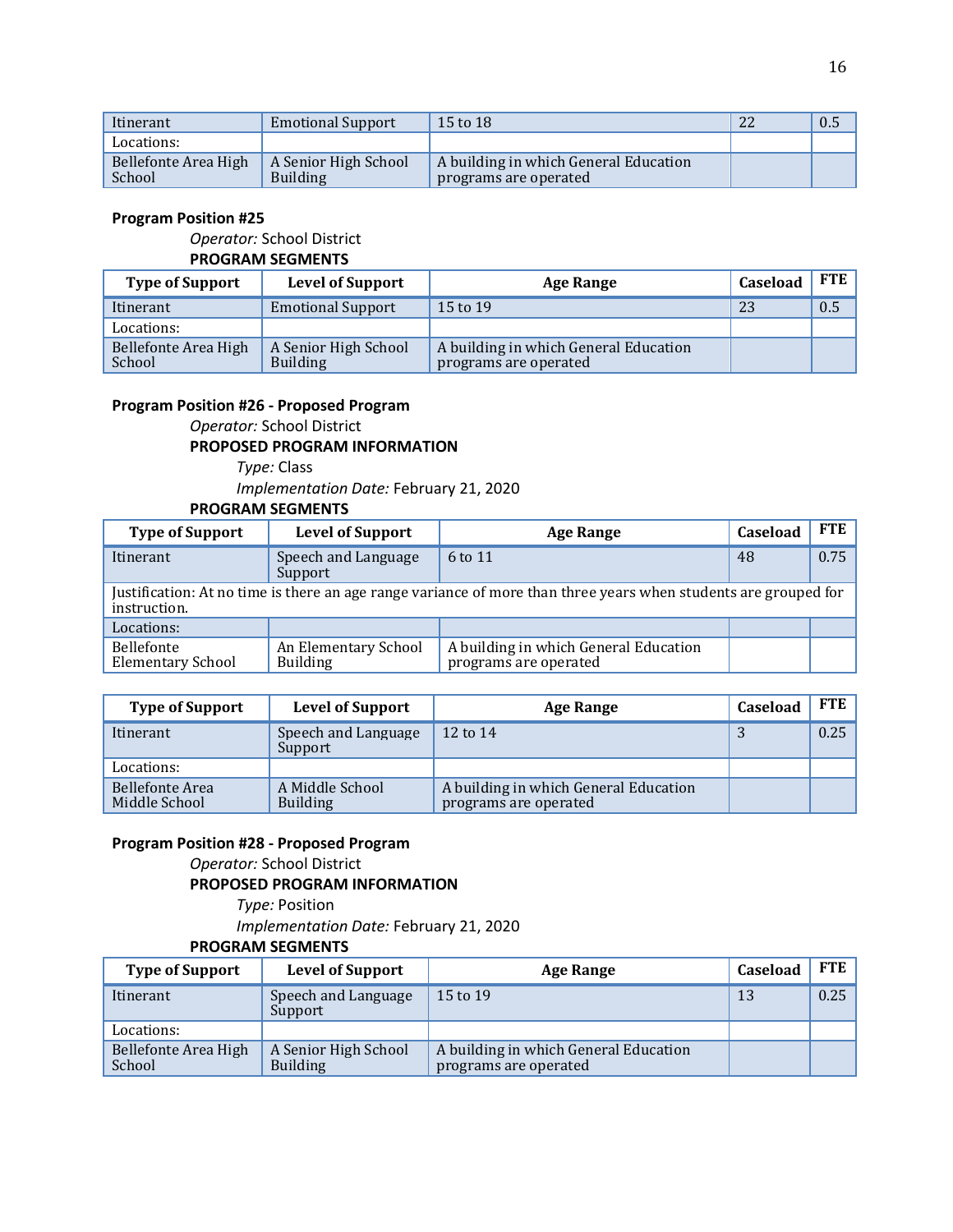| Itinerant                      | <b>Emotional Support</b>                | 15 to 18                                                       | 22 | 0.5 |
|--------------------------------|-----------------------------------------|----------------------------------------------------------------|----|-----|
| Locations:                     |                                         |                                                                |    |     |
| Bellefonte Area High<br>School | A Senior High School<br><b>Building</b> | A building in which General Education<br>programs are operated |    |     |

#### **Program Position #25**

#### *Operator:* School District

#### **PROGRAM SEGMENTS**

| <b>Type of Support</b>         | <b>Level of Support</b>                 | <b>Age Range</b>                                               | Caseload | <b>FTE</b> |
|--------------------------------|-----------------------------------------|----------------------------------------------------------------|----------|------------|
| Itinerant                      | <b>Emotional Support</b>                | 15 to 19                                                       | 23       | 0.5        |
| Locations:                     |                                         |                                                                |          |            |
| Bellefonte Area High<br>School | A Senior High School<br><b>Building</b> | A building in which General Education<br>programs are operated |          |            |

#### **Program Position #26 - Proposed Program**

*Operator:* School District

#### **PROPOSED PROGRAM INFORMATION**

*Type:* Class

*Implementation Date:* February 21, 2020

#### **PROGRAM SEGMENTS**

| <b>Type of Support</b>                                                                                                          | <b>Level of Support</b>                 | <b>Age Range</b>                                               | Caseload | <b>FTE</b> |  |
|---------------------------------------------------------------------------------------------------------------------------------|-----------------------------------------|----------------------------------------------------------------|----------|------------|--|
| Itinerant                                                                                                                       | Speech and Language<br>Support          | 6 to 11                                                        | 48       | 0.75       |  |
| Justification: At no time is there an age range variance of more than three years when students are grouped for<br>instruction. |                                         |                                                                |          |            |  |
| Locations:                                                                                                                      |                                         |                                                                |          |            |  |
| <b>Bellefonte</b><br><b>Elementary School</b>                                                                                   | An Elementary School<br><b>Building</b> | A building in which General Education<br>programs are operated |          |            |  |

| <b>Type of Support</b>           | <b>Level of Support</b>            | <b>Age Range</b>                                               | <b>Caseload</b> | <b>FTE</b> |
|----------------------------------|------------------------------------|----------------------------------------------------------------|-----------------|------------|
| Itinerant                        | Speech and Language<br>Support     | 12 to 14                                                       | J               | 0.25       |
| Locations:                       |                                    |                                                                |                 |            |
| Bellefonte Area<br>Middle School | A Middle School<br><b>Building</b> | A building in which General Education<br>programs are operated |                 |            |

#### **Program Position #28 - Proposed Program**

*Operator:* School District

#### **PROPOSED PROGRAM INFORMATION**

*Type:* Position *Implementation Date:* February 21, 2020 **PROGRAM SEGMENTS**

| <b>Type of Support</b>         | <b>Level of Support</b>                 | Age Range                                                      | Caseload | <b>FTE</b> |
|--------------------------------|-----------------------------------------|----------------------------------------------------------------|----------|------------|
| Itinerant                      | Speech and Language<br>Support          | 15 to 19                                                       | 13       | 0.25       |
| Locations:                     |                                         |                                                                |          |            |
| Bellefonte Area High<br>School | A Senior High School<br><b>Building</b> | A building in which General Education<br>programs are operated |          |            |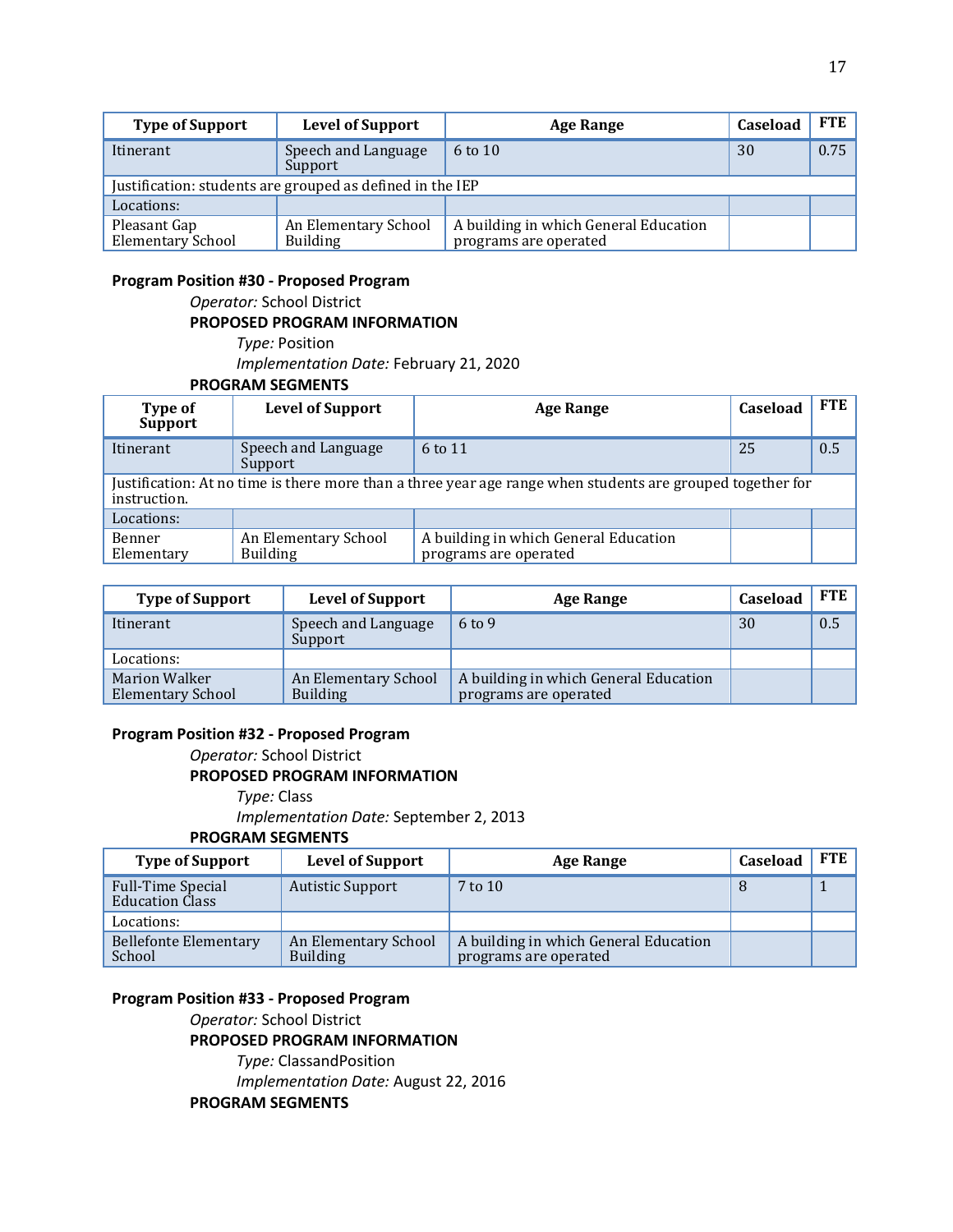| <b>Type of Support</b>                                    | <b>Level of Support</b>                 | Age Range                                                      | Caseload | <b>FTE</b> |
|-----------------------------------------------------------|-----------------------------------------|----------------------------------------------------------------|----------|------------|
| Itinerant                                                 | Speech and Language<br>Support          | $6$ to $10$                                                    | 30       | 0.75       |
| Justification: students are grouped as defined in the IEP |                                         |                                                                |          |            |
| Locations:                                                |                                         |                                                                |          |            |
| Pleasant Gap<br>Elementary School                         | An Elementary School<br><b>Building</b> | A building in which General Education<br>programs are operated |          |            |

#### **Program Position #30 - Proposed Program**

*Operator:* School District **PROPOSED PROGRAM INFORMATION**

*Type:* Position *Implementation Date:* February 21, 2020 **PROGRAM SEGMENTS**

| Type of<br><b>Support</b>                                                                                                  | <b>Level of Support</b>                 | <b>Age Range</b>                                               | Caseload | FTE |
|----------------------------------------------------------------------------------------------------------------------------|-----------------------------------------|----------------------------------------------------------------|----------|-----|
| Itinerant                                                                                                                  | Speech and Language<br>Support          | 6 to 11                                                        | 25       | 0.5 |
| Justification: At no time is there more than a three year age range when students are grouped together for<br>instruction. |                                         |                                                                |          |     |
| Locations:                                                                                                                 |                                         |                                                                |          |     |
| Benner<br>Elementary                                                                                                       | An Elementary School<br><b>Building</b> | A building in which General Education<br>programs are operated |          |     |

| <b>Type of Support</b>                           | <b>Level of Support</b>                 | <b>Age Range</b>                                               | Caseload | <b>FTE</b> |
|--------------------------------------------------|-----------------------------------------|----------------------------------------------------------------|----------|------------|
| Itinerant                                        | Speech and Language<br>Support          | $6 \text{ to } 9$                                              | 30       | 0.5        |
| Locations:                                       |                                         |                                                                |          |            |
| <b>Marion Walker</b><br><b>Elementary School</b> | An Elementary School<br><b>Building</b> | A building in which General Education<br>programs are operated |          |            |

#### **Program Position #32 - Proposed Program**

*Operator:* School District

#### **PROPOSED PROGRAM INFORMATION**

*Type:* Class *Implementation Date:* September 2, 2013 **PROGRAM SEGMENTS**

| <b>Type of Support</b>                             | <b>Level of Support</b>                 | <b>Age Range</b>                                               | Caseload | <b>FTE</b> |
|----------------------------------------------------|-----------------------------------------|----------------------------------------------------------------|----------|------------|
| <b>Full-Time Special</b><br><b>Education Class</b> | <b>Autistic Support</b>                 | $7$ to $10$                                                    |          |            |
| Locations:                                         |                                         |                                                                |          |            |
| <b>Bellefonte Elementary</b><br>School             | An Elementary School<br><b>Building</b> | A building in which General Education<br>programs are operated |          |            |

#### **Program Position #33 - Proposed Program**

*Operator:* School District

#### **PROPOSED PROGRAM INFORMATION**

*Type:* ClassandPosition *Implementation Date:* August 22, 2016 **PROGRAM SEGMENTS**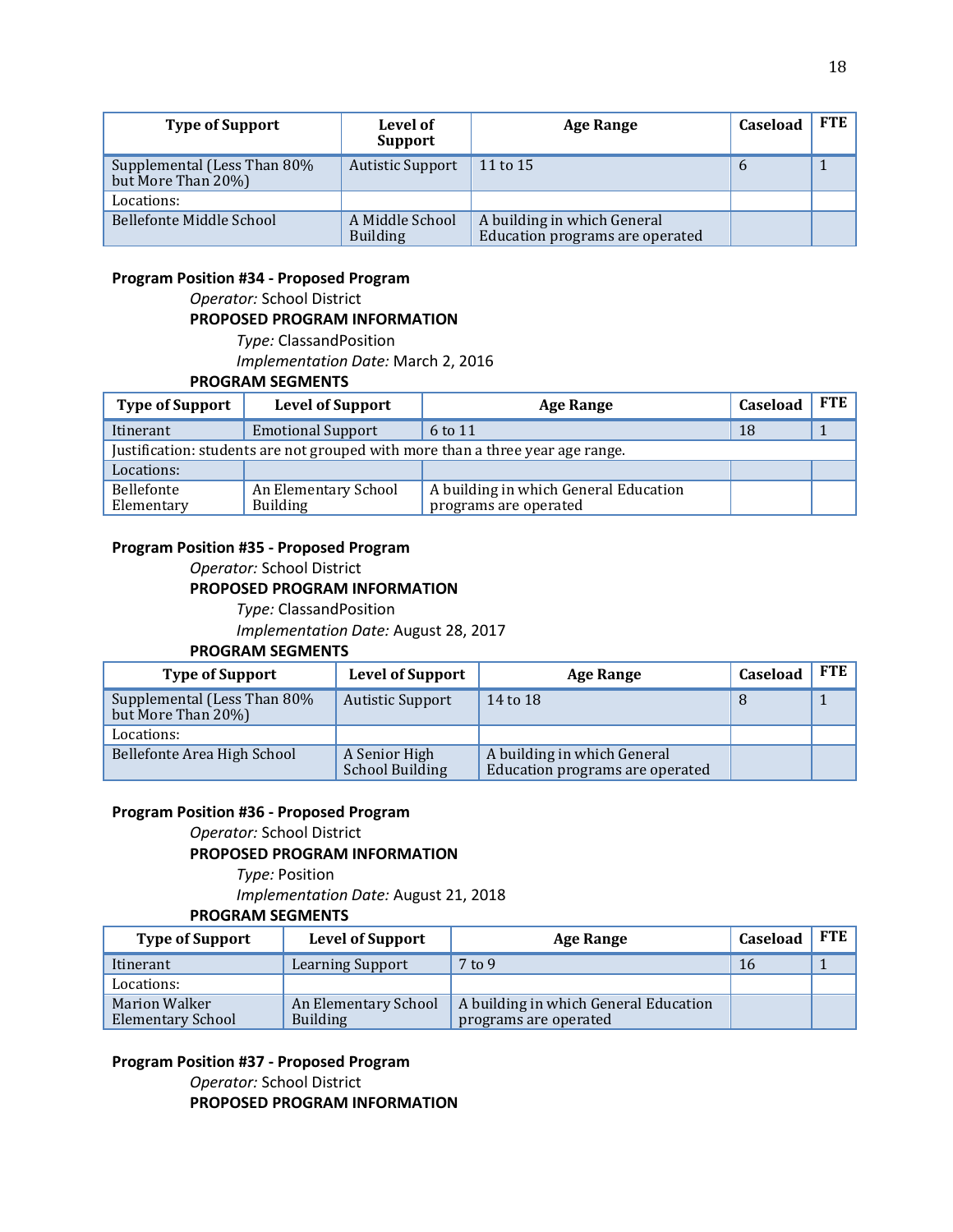| <b>Type of Support</b>                            | Level of<br><b>Support</b>         | <b>Age Range</b>                                               | Caseload | <b>FTE</b> |
|---------------------------------------------------|------------------------------------|----------------------------------------------------------------|----------|------------|
| Supplemental (Less Than 80%<br>but More Than 20%) | <b>Autistic Support</b>            | 11 to 15                                                       | b        |            |
| Locations:                                        |                                    |                                                                |          |            |
| Bellefonte Middle School                          | A Middle School<br><b>Building</b> | A building in which General<br>Education programs are operated |          |            |

#### **Program Position #34 - Proposed Program**

*Operator:* School District **PROPOSED PROGRAM INFORMATION** *Type:* ClassandPosition *Implementation Date:* March 2, 2016

#### **PROGRAM SEGMENTS**

| <b>Type of Support</b>                                                         | <b>Level of Support</b>                 | Age Range                                                      | Caseload | <b>FTE</b> |
|--------------------------------------------------------------------------------|-----------------------------------------|----------------------------------------------------------------|----------|------------|
| Itinerant                                                                      | <b>Emotional Support</b>                | 6 to 11                                                        | 18       |            |
| Justification: students are not grouped with more than a three year age range. |                                         |                                                                |          |            |
| Locations:                                                                     |                                         |                                                                |          |            |
| Bellefonte<br>Elementary                                                       | An Elementary School<br><b>Building</b> | A building in which General Education<br>programs are operated |          |            |

#### **Program Position #35 - Proposed Program**

*Operator:* School District

#### **PROPOSED PROGRAM INFORMATION**

*Type:* ClassandPosition

*Implementation Date:* August 28, 2017

#### **PROGRAM SEGMENTS**

| <b>Type of Support</b>                            | <b>Level of Support</b>                 | <b>Age Range</b>                                               | Caseload | FTE |
|---------------------------------------------------|-----------------------------------------|----------------------------------------------------------------|----------|-----|
| Supplemental (Less Than 80%<br>but More Than 20%) | <b>Autistic Support</b>                 | 14 to 18                                                       |          |     |
| Locations:                                        |                                         |                                                                |          |     |
| Bellefonte Area High School                       | A Senior High<br><b>School Building</b> | A building in which General<br>Education programs are operated |          |     |

#### **Program Position #36 - Proposed Program**

*Operator:* School District

#### **PROPOSED PROGRAM INFORMATION**

*Type:* Position

*Implementation Date:* August 21, 2018

#### **PROGRAM SEGMENTS**

| <b>Type of Support</b>                           | <b>Level of Support</b>                 | <b>Age Range</b>                                               | Caseload | <b>FTE</b> |
|--------------------------------------------------|-----------------------------------------|----------------------------------------------------------------|----------|------------|
| Itinerant                                        | Learning Support                        | $7$ to 9                                                       | 16       |            |
| Locations:                                       |                                         |                                                                |          |            |
| <b>Marion Walker</b><br><b>Elementary School</b> | An Elementary School<br><b>Building</b> | A building in which General Education<br>programs are operated |          |            |

#### **Program Position #37 - Proposed Program**

*Operator:* School District **PROPOSED PROGRAM INFORMATION**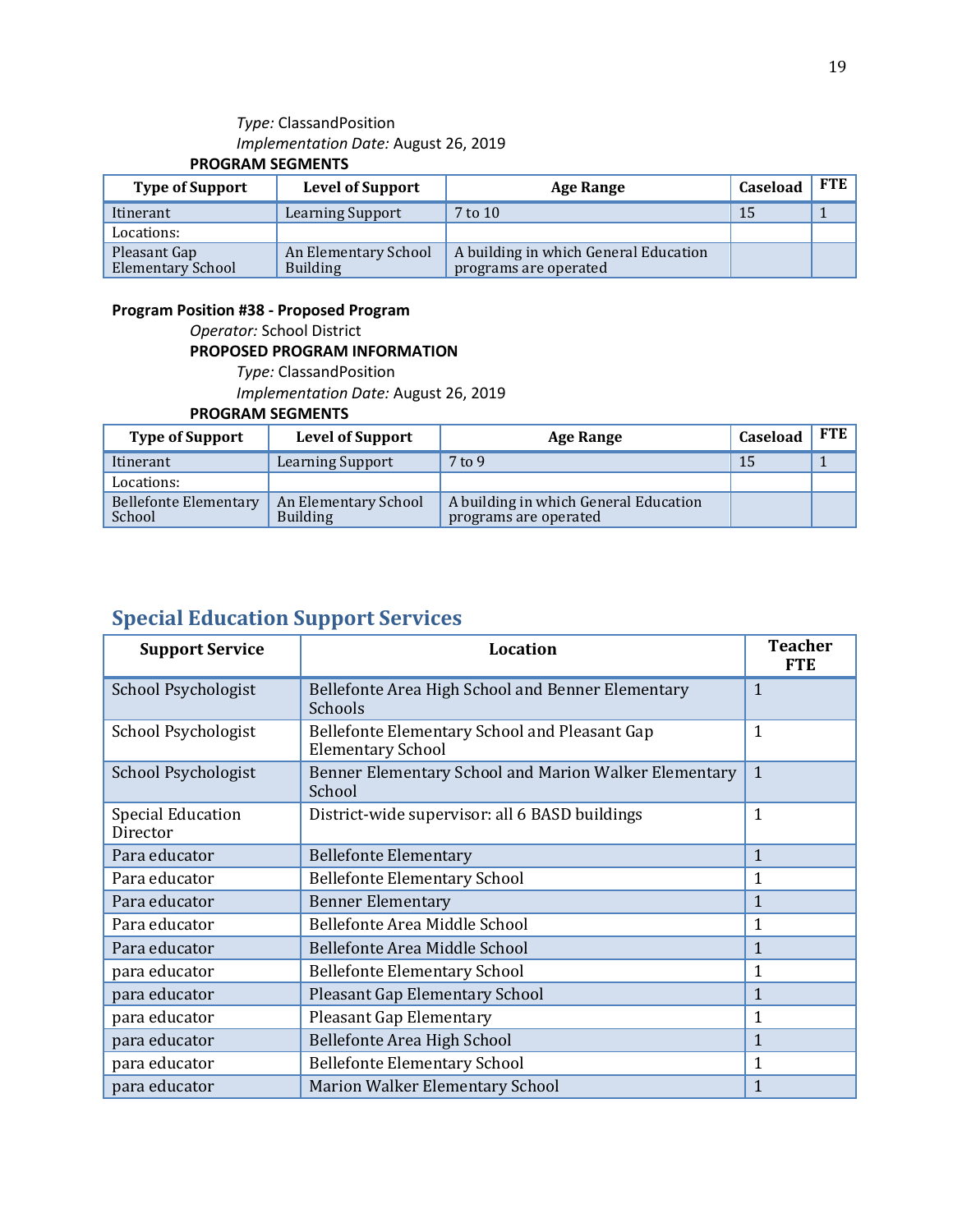#### *Type:* ClassandPosition *Implementation Date:* August 26, 2019 **PROGRAM SEGMENTS**

| <b>Type of Support</b>                   | <b>Level of Support</b>                 | Age Range                                                      | Caseload | <b>FTE</b> |
|------------------------------------------|-----------------------------------------|----------------------------------------------------------------|----------|------------|
| Itinerant                                | <b>Learning Support</b>                 | $7$ to $10$                                                    | 15       |            |
| Locations:                               |                                         |                                                                |          |            |
| Pleasant Gap<br><b>Elementary School</b> | An Elementary School<br><b>Building</b> | A building in which General Education<br>programs are operated |          |            |

#### **Program Position #38 - Proposed Program**

*Operator:* School District

#### **PROPOSED PROGRAM INFORMATION**

*Type:* ClassandPosition *Implementation Date:* August 26, 2019 **PROGRAM SEGMENTS**

| <b>Type of Support</b>          | <b>Level of Support</b>                 | Age Range                                                      | Caseload | <b>FTE</b> |
|---------------------------------|-----------------------------------------|----------------------------------------------------------------|----------|------------|
| Itinerant                       | <b>Learning Support</b>                 | $7$ to 9                                                       |          |            |
| Locations:                      |                                         |                                                                |          |            |
| Bellefonte Elementary<br>School | An Elementary School<br><b>Building</b> | A building in which General Education<br>programs are operated |          |            |

## **Special Education Support Services**

| <b>Support Service</b>               | <b>Location</b>                                                           | <b>Teacher</b><br><b>FTE</b> |
|--------------------------------------|---------------------------------------------------------------------------|------------------------------|
| School Psychologist                  | Bellefonte Area High School and Benner Elementary<br>Schools              | $\mathbf{1}$                 |
| School Psychologist                  | Bellefonte Elementary School and Pleasant Gap<br><b>Elementary School</b> | 1                            |
| School Psychologist                  | Benner Elementary School and Marion Walker Elementary<br>School           | $\mathbf{1}$                 |
| <b>Special Education</b><br>Director | District-wide supervisor: all 6 BASD buildings                            | $\mathbf{1}$                 |
| Para educator                        | <b>Bellefonte Elementary</b>                                              | $\mathbf{1}$                 |
| Para educator                        | <b>Bellefonte Elementary School</b>                                       | 1                            |
| Para educator                        | <b>Benner Elementary</b>                                                  | $\mathbf{1}$                 |
| Para educator                        | Bellefonte Area Middle School                                             | 1                            |
| Para educator                        | Bellefonte Area Middle School                                             | 1                            |
| para educator                        | <b>Bellefonte Elementary School</b>                                       | 1                            |
| para educator                        | <b>Pleasant Gap Elementary School</b>                                     | $\mathbf{1}$                 |
| para educator                        | <b>Pleasant Gap Elementary</b>                                            | 1                            |
| para educator                        | <b>Bellefonte Area High School</b>                                        | 1                            |
| para educator                        | <b>Bellefonte Elementary School</b>                                       | 1                            |
| para educator                        | <b>Marion Walker Elementary School</b>                                    | $\mathbf{1}$                 |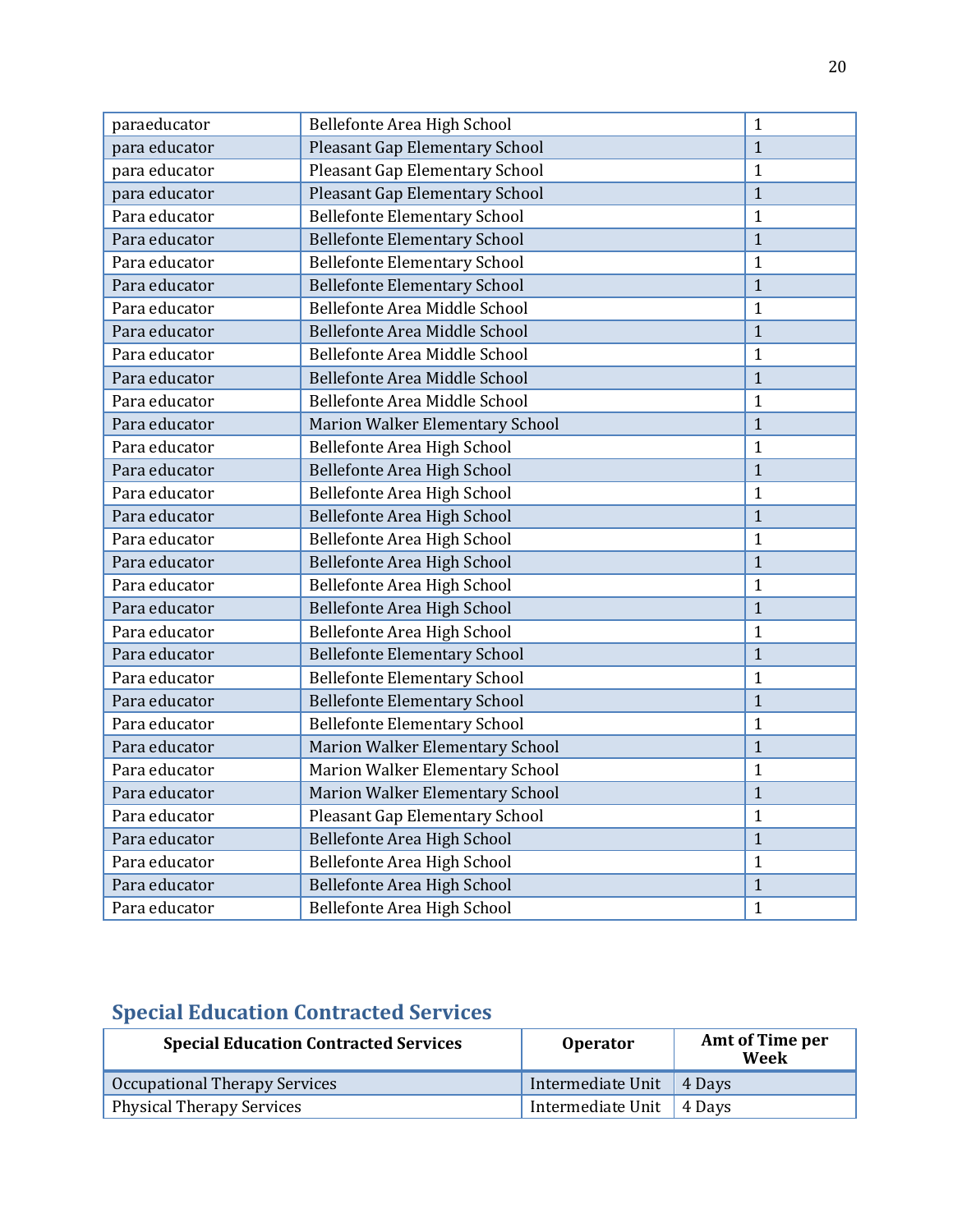| paraeducator  | Bellefonte Area High School           | $\mathbf{1}$ |
|---------------|---------------------------------------|--------------|
| para educator | <b>Pleasant Gap Elementary School</b> | $\mathbf{1}$ |
| para educator | Pleasant Gap Elementary School        | $\mathbf{1}$ |
| para educator | <b>Pleasant Gap Elementary School</b> | $\mathbf{1}$ |
| Para educator | <b>Bellefonte Elementary School</b>   | $\mathbf{1}$ |
| Para educator | <b>Bellefonte Elementary School</b>   | $\mathbf{1}$ |
| Para educator | <b>Bellefonte Elementary School</b>   | $\mathbf{1}$ |
| Para educator | <b>Bellefonte Elementary School</b>   | $\mathbf{1}$ |
| Para educator | Bellefonte Area Middle School         | $\mathbf{1}$ |
| Para educator | <b>Bellefonte Area Middle School</b>  | $\mathbf{1}$ |
| Para educator | Bellefonte Area Middle School         | $\mathbf{1}$ |
| Para educator | Bellefonte Area Middle School         | $\mathbf{1}$ |
| Para educator | Bellefonte Area Middle School         | $\mathbf{1}$ |
| Para educator | Marion Walker Elementary School       | $\mathbf{1}$ |
| Para educator | Bellefonte Area High School           | $\mathbf{1}$ |
| Para educator | Bellefonte Area High School           | $\mathbf{1}$ |
| Para educator | Bellefonte Area High School           | $\mathbf{1}$ |
| Para educator | <b>Bellefonte Area High School</b>    | $\mathbf{1}$ |
| Para educator | Bellefonte Area High School           | $\mathbf{1}$ |
| Para educator | Bellefonte Area High School           | $\mathbf{1}$ |
| Para educator | Bellefonte Area High School           | $\mathbf{1}$ |
| Para educator | <b>Bellefonte Area High School</b>    | $\mathbf{1}$ |
| Para educator | Bellefonte Area High School           | $\mathbf{1}$ |
| Para educator | <b>Bellefonte Elementary School</b>   | $\mathbf{1}$ |
| Para educator | <b>Bellefonte Elementary School</b>   | $\mathbf{1}$ |
| Para educator | <b>Bellefonte Elementary School</b>   | $\mathbf{1}$ |
| Para educator | <b>Bellefonte Elementary School</b>   | $\mathbf{1}$ |
| Para educator | Marion Walker Elementary School       | $\mathbf{1}$ |
| Para educator | Marion Walker Elementary School       | $\mathbf{1}$ |
| Para educator | Marion Walker Elementary School       | $\mathbf{1}$ |
| Para educator | Pleasant Gap Elementary School        | $\mathbf{1}$ |
| Para educator | Bellefonte Area High School           | $\mathbf{1}$ |
| Para educator | Bellefonte Area High School           | $\mathbf{1}$ |
| Para educator | <b>Bellefonte Area High School</b>    | $\mathbf{1}$ |
| Para educator | Bellefonte Area High School           | $\mathbf{1}$ |

## **Special Education Contracted Services**

| <b>Special Education Contracted Services</b> | <b>Operator</b>              | Amt of Time per<br>Week |
|----------------------------------------------|------------------------------|-------------------------|
| Occupational Therapy Services                | Intermediate Unit   4 Days   |                         |
| <b>Physical Therapy Services</b>             | Intermediate Unit   $4$ Days |                         |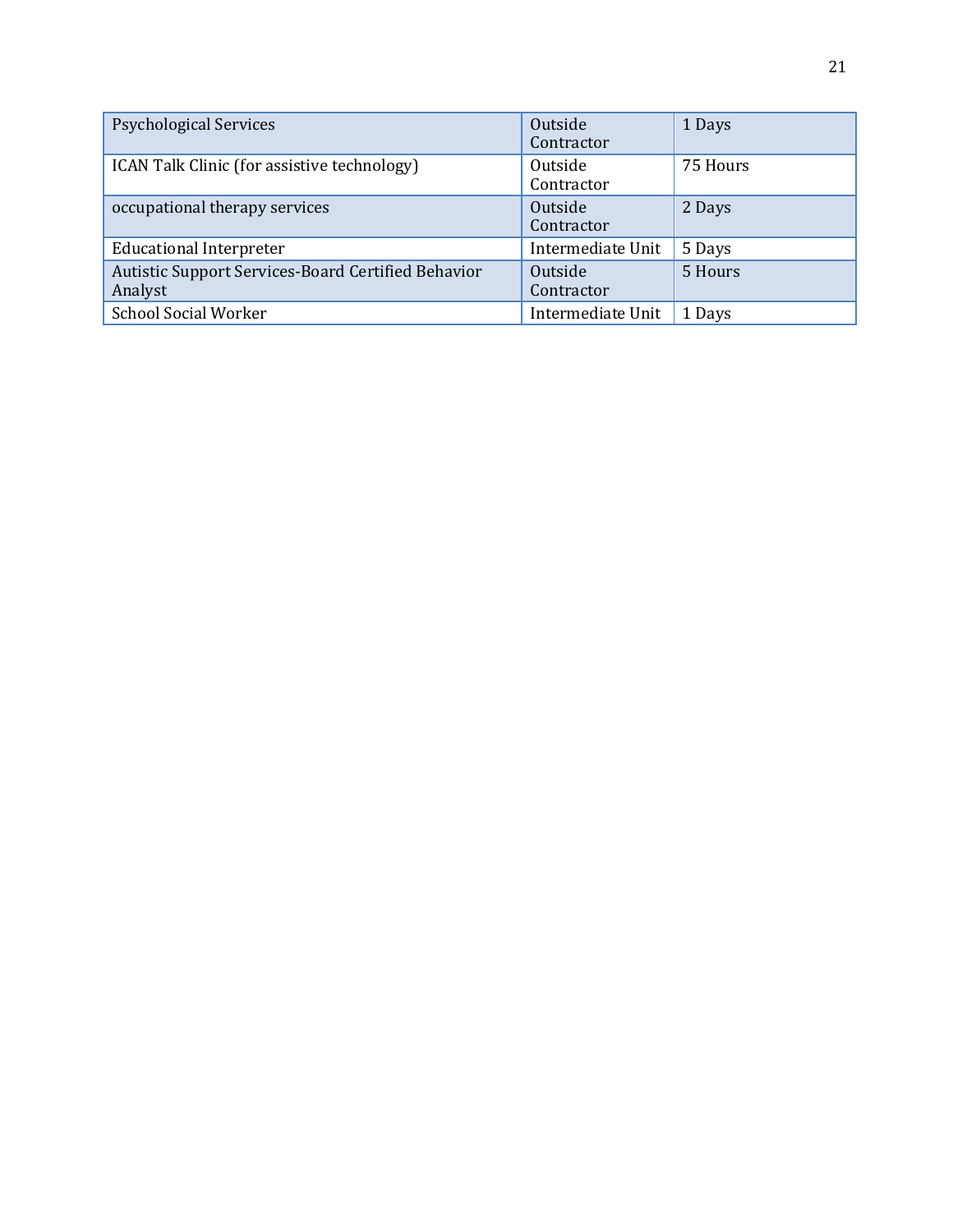| <b>Psychological Services</b>                                 | Outside<br>Contractor | 1 Days   |
|---------------------------------------------------------------|-----------------------|----------|
| ICAN Talk Clinic (for assistive technology)                   | Outside<br>Contractor | 75 Hours |
| occupational therapy services                                 | Outside<br>Contractor | 2 Days   |
| <b>Educational Interpreter</b>                                | Intermediate Unit     | 5 Days   |
| Autistic Support Services-Board Certified Behavior<br>Analyst | Outside<br>Contractor | 5 Hours  |
| <b>School Social Worker</b>                                   | Intermediate Unit     | 1 Days   |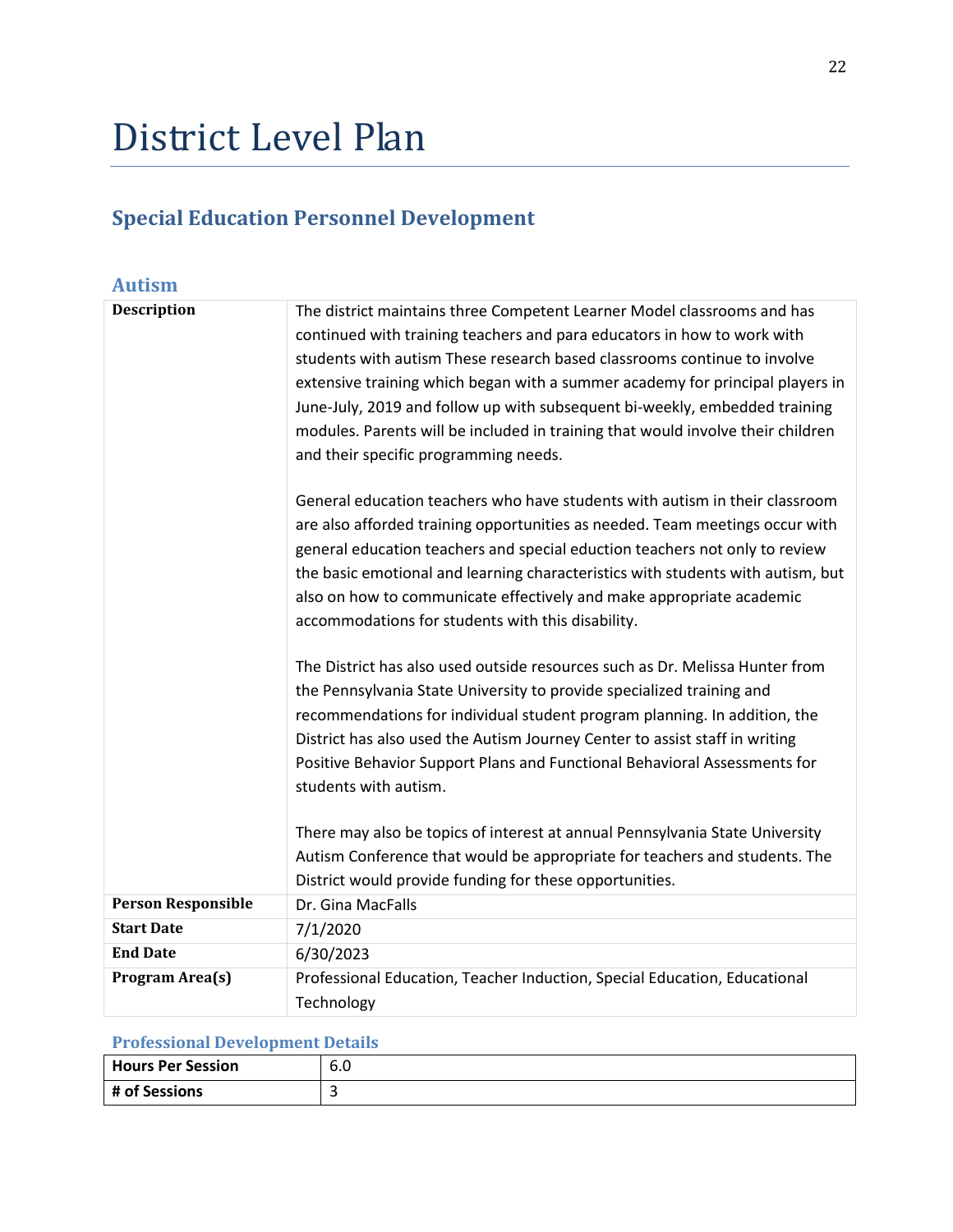## District Level Plan

## **Special Education Personnel Development**

| <b>Autism</b>             |                                                                                                                                                             |
|---------------------------|-------------------------------------------------------------------------------------------------------------------------------------------------------------|
| <b>Description</b>        | The district maintains three Competent Learner Model classrooms and has                                                                                     |
|                           | continued with training teachers and para educators in how to work with                                                                                     |
|                           | students with autism These research based classrooms continue to involve                                                                                    |
|                           | extensive training which began with a summer academy for principal players in                                                                               |
|                           | June-July, 2019 and follow up with subsequent bi-weekly, embedded training                                                                                  |
|                           | modules. Parents will be included in training that would involve their children                                                                             |
|                           | and their specific programming needs.                                                                                                                       |
|                           | General education teachers who have students with autism in their classroom<br>are also afforded training opportunities as needed. Team meetings occur with |
|                           | general education teachers and special eduction teachers not only to review                                                                                 |
|                           | the basic emotional and learning characteristics with students with autism, but                                                                             |
|                           | also on how to communicate effectively and make appropriate academic                                                                                        |
|                           | accommodations for students with this disability.                                                                                                           |
|                           |                                                                                                                                                             |
|                           | The District has also used outside resources such as Dr. Melissa Hunter from                                                                                |
|                           | the Pennsylvania State University to provide specialized training and                                                                                       |
|                           | recommendations for individual student program planning. In addition, the                                                                                   |
|                           | District has also used the Autism Journey Center to assist staff in writing                                                                                 |
|                           | Positive Behavior Support Plans and Functional Behavioral Assessments for                                                                                   |
|                           | students with autism.                                                                                                                                       |
|                           | There may also be topics of interest at annual Pennsylvania State University                                                                                |
|                           | Autism Conference that would be appropriate for teachers and students. The                                                                                  |
|                           | District would provide funding for these opportunities.                                                                                                     |
| <b>Person Responsible</b> | Dr. Gina MacFalls                                                                                                                                           |
| <b>Start Date</b>         | 7/1/2020                                                                                                                                                    |
| <b>End Date</b>           | 6/30/2023                                                                                                                                                   |
| Program Area(s)           | Professional Education, Teacher Induction, Special Education, Educational                                                                                   |
|                           | Technology                                                                                                                                                  |

#### **Professional Development Details**

| Hours Per Session | $\sqrt{2}$<br>$\epsilon$<br>.b U |
|-------------------|----------------------------------|
| # of Sessions     |                                  |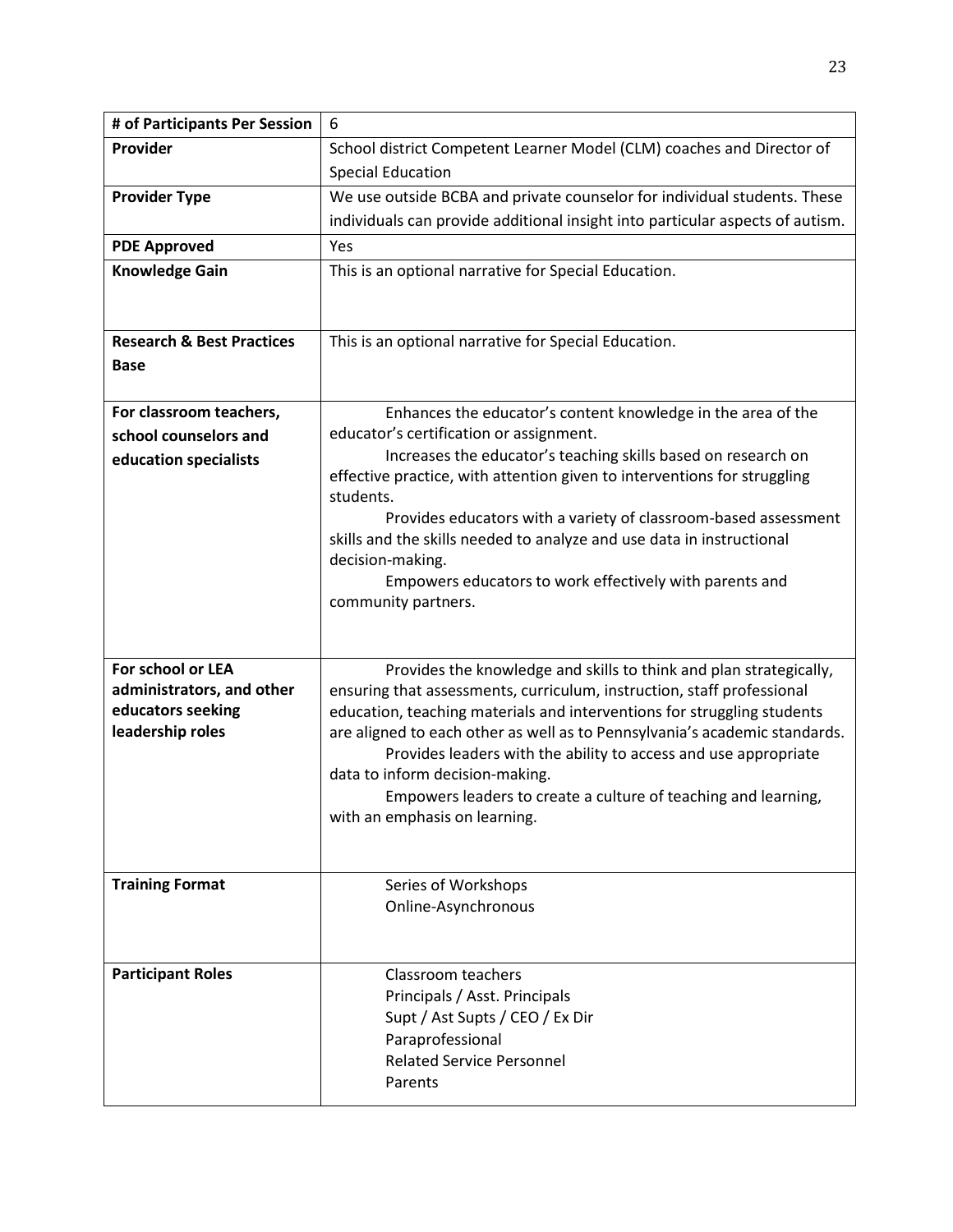| # of Participants Per Session                                                           | 6                                                                                                                                                                                                                                                                                                                                                                                                                                                                                                                   |
|-----------------------------------------------------------------------------------------|---------------------------------------------------------------------------------------------------------------------------------------------------------------------------------------------------------------------------------------------------------------------------------------------------------------------------------------------------------------------------------------------------------------------------------------------------------------------------------------------------------------------|
| Provider                                                                                | School district Competent Learner Model (CLM) coaches and Director of<br><b>Special Education</b>                                                                                                                                                                                                                                                                                                                                                                                                                   |
| <b>Provider Type</b>                                                                    | We use outside BCBA and private counselor for individual students. These<br>individuals can provide additional insight into particular aspects of autism.                                                                                                                                                                                                                                                                                                                                                           |
| <b>PDE Approved</b>                                                                     | Yes                                                                                                                                                                                                                                                                                                                                                                                                                                                                                                                 |
| <b>Knowledge Gain</b>                                                                   | This is an optional narrative for Special Education.                                                                                                                                                                                                                                                                                                                                                                                                                                                                |
| <b>Research &amp; Best Practices</b><br><b>Base</b>                                     | This is an optional narrative for Special Education.                                                                                                                                                                                                                                                                                                                                                                                                                                                                |
| For classroom teachers,<br>school counselors and<br>education specialists               | Enhances the educator's content knowledge in the area of the<br>educator's certification or assignment.<br>Increases the educator's teaching skills based on research on<br>effective practice, with attention given to interventions for struggling<br>students.<br>Provides educators with a variety of classroom-based assessment<br>skills and the skills needed to analyze and use data in instructional<br>decision-making.<br>Empowers educators to work effectively with parents and<br>community partners. |
| For school or LEA<br>administrators, and other<br>educators seeking<br>leadership roles | Provides the knowledge and skills to think and plan strategically,<br>ensuring that assessments, curriculum, instruction, staff professional<br>education, teaching materials and interventions for struggling students<br>are aligned to each other as well as to Pennsylvania's academic standards.<br>Provides leaders with the ability to access and use appropriate<br>data to inform decision-making.<br>Empowers leaders to create a culture of teaching and learning,<br>with an emphasis on learning.      |
| <b>Training Format</b>                                                                  | Series of Workshops<br>Online-Asynchronous                                                                                                                                                                                                                                                                                                                                                                                                                                                                          |
| <b>Participant Roles</b>                                                                | Classroom teachers<br>Principals / Asst. Principals<br>Supt / Ast Supts / CEO / Ex Dir<br>Paraprofessional<br><b>Related Service Personnel</b><br>Parents                                                                                                                                                                                                                                                                                                                                                           |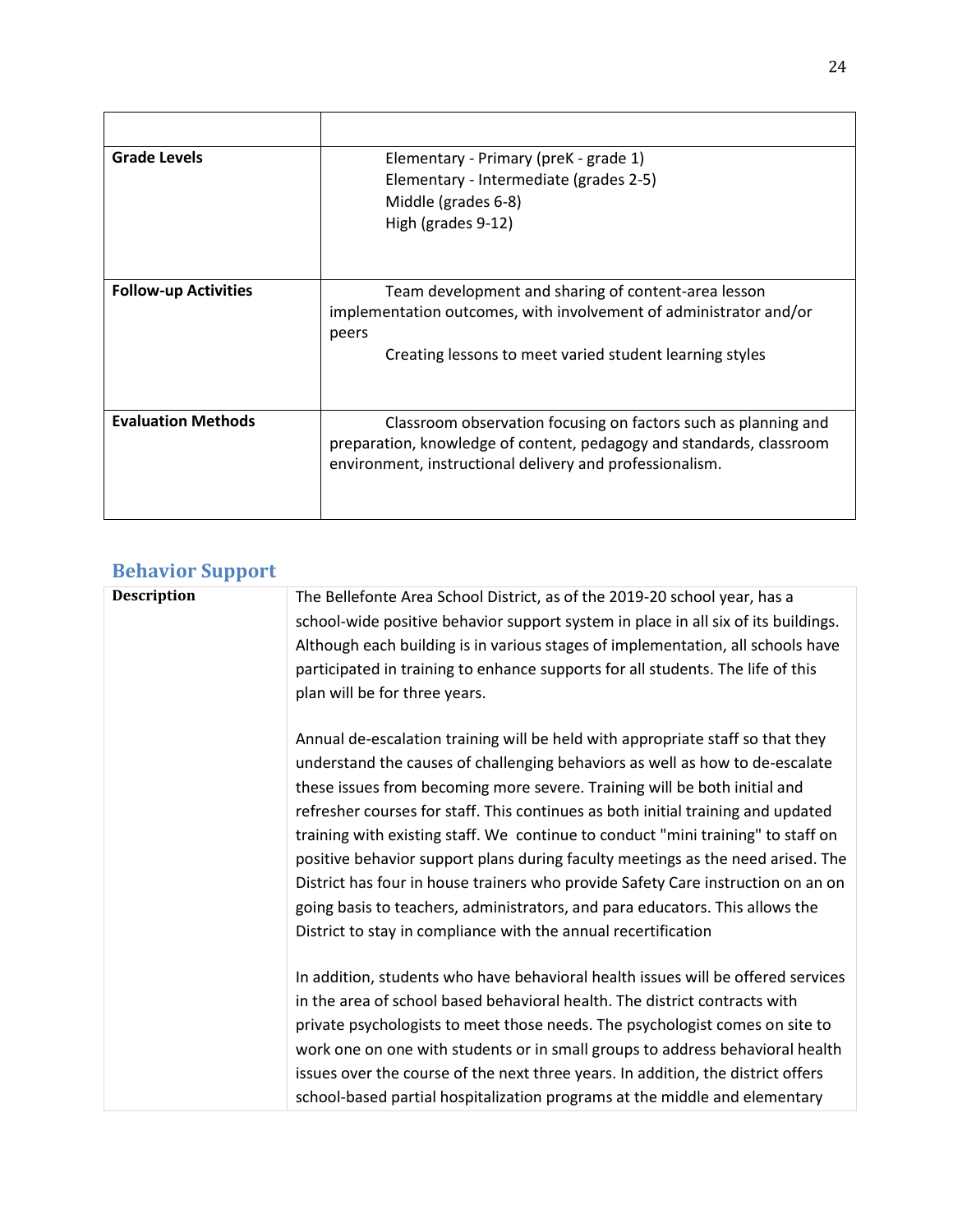| <b>Grade Levels</b>         | Elementary - Primary (preK - grade 1)<br>Elementary - Intermediate (grades 2-5)<br>Middle (grades 6-8)<br>High (grades 9-12)                                                                       |
|-----------------------------|----------------------------------------------------------------------------------------------------------------------------------------------------------------------------------------------------|
| <b>Follow-up Activities</b> | Team development and sharing of content-area lesson<br>implementation outcomes, with involvement of administrator and/or<br>peers<br>Creating lessons to meet varied student learning styles       |
| <b>Evaluation Methods</b>   | Classroom observation focusing on factors such as planning and<br>preparation, knowledge of content, pedagogy and standards, classroom<br>environment, instructional delivery and professionalism. |

## **Behavior Support**

| <b>Description</b> | The Bellefonte Area School District, as of the 2019-20 school year, has a<br>school-wide positive behavior support system in place in all six of its buildings.<br>Although each building is in various stages of implementation, all schools have<br>participated in training to enhance supports for all students. The life of this<br>plan will be for three years.                                                                                                                                                                                                                                                                                                                                                                       |
|--------------------|----------------------------------------------------------------------------------------------------------------------------------------------------------------------------------------------------------------------------------------------------------------------------------------------------------------------------------------------------------------------------------------------------------------------------------------------------------------------------------------------------------------------------------------------------------------------------------------------------------------------------------------------------------------------------------------------------------------------------------------------|
|                    | Annual de-escalation training will be held with appropriate staff so that they<br>understand the causes of challenging behaviors as well as how to de-escalate<br>these issues from becoming more severe. Training will be both initial and<br>refresher courses for staff. This continues as both initial training and updated<br>training with existing staff. We continue to conduct "mini training" to staff on<br>positive behavior support plans during faculty meetings as the need arised. The<br>District has four in house trainers who provide Safety Care instruction on an on<br>going basis to teachers, administrators, and para educators. This allows the<br>District to stay in compliance with the annual recertification |
|                    | In addition, students who have behavioral health issues will be offered services<br>in the area of school based behavioral health. The district contracts with<br>private psychologists to meet those needs. The psychologist comes on site to<br>work one on one with students or in small groups to address behavioral health<br>issues over the course of the next three years. In addition, the district offers<br>school-based partial hospitalization programs at the middle and elementary                                                                                                                                                                                                                                            |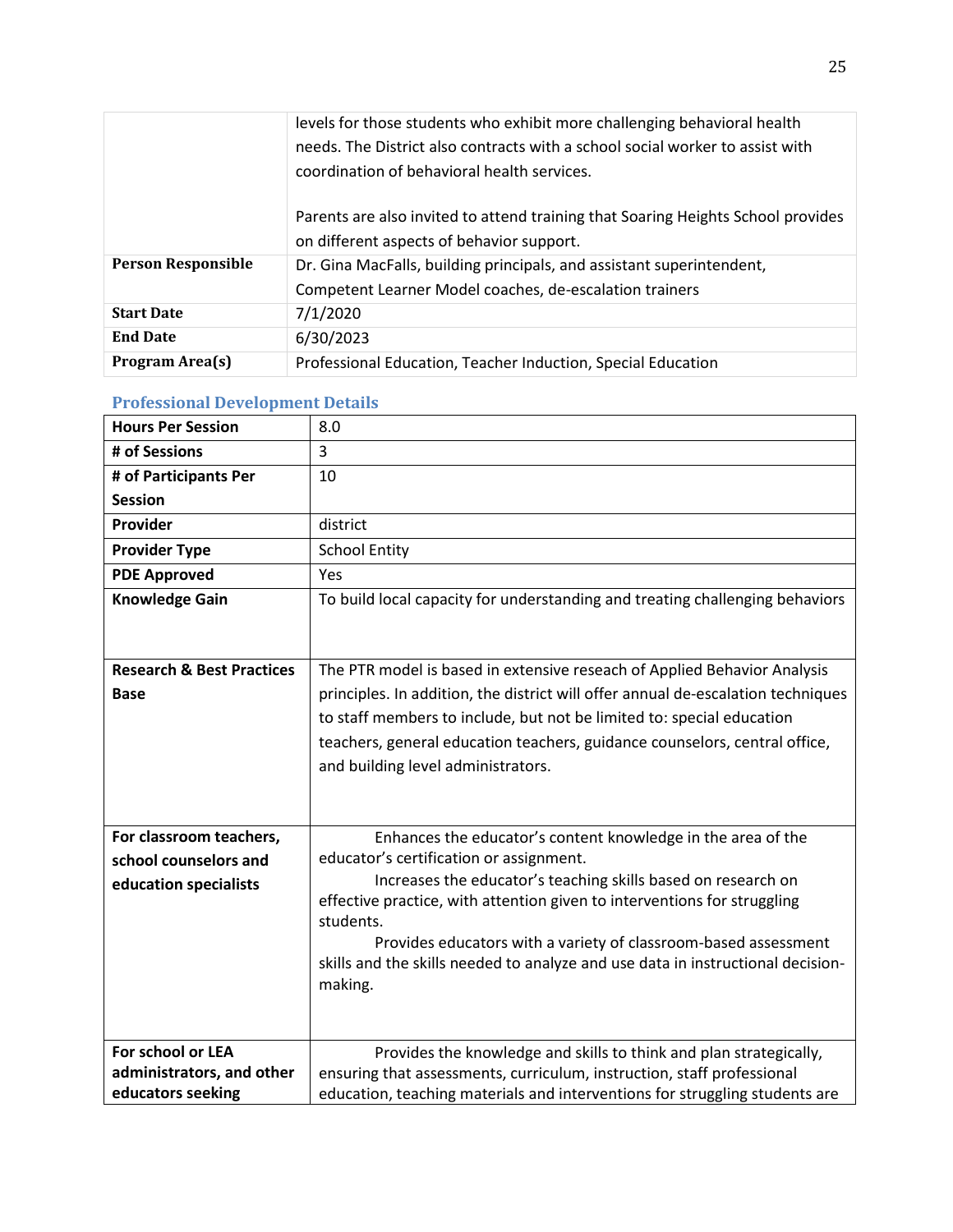|                           | levels for those students who exhibit more challenging behavioral health<br>needs. The District also contracts with a school social worker to assist with<br>coordination of behavioral health services. |
|---------------------------|----------------------------------------------------------------------------------------------------------------------------------------------------------------------------------------------------------|
|                           | Parents are also invited to attend training that Soaring Heights School provides<br>on different aspects of behavior support.                                                                            |
| <b>Person Responsible</b> | Dr. Gina MacFalls, building principals, and assistant superintendent,<br>Competent Learner Model coaches, de-escalation trainers                                                                         |
| <b>Start Date</b>         | 7/1/2020                                                                                                                                                                                                 |
| <b>End Date</b>           | 6/30/2023                                                                                                                                                                                                |
| <b>Program Area(s)</b>    | Professional Education, Teacher Induction, Special Education                                                                                                                                             |

#### **Professional Development Details**

| <b>Hours Per Session</b>             | 8.0                                                                              |
|--------------------------------------|----------------------------------------------------------------------------------|
| # of Sessions                        | 3                                                                                |
| # of Participants Per                | 10                                                                               |
| <b>Session</b>                       |                                                                                  |
| Provider                             | district                                                                         |
| <b>Provider Type</b>                 | <b>School Entity</b>                                                             |
| <b>PDE Approved</b>                  | Yes                                                                              |
| <b>Knowledge Gain</b>                | To build local capacity for understanding and treating challenging behaviors     |
|                                      |                                                                                  |
| <b>Research &amp; Best Practices</b> | The PTR model is based in extensive reseach of Applied Behavior Analysis         |
| <b>Base</b>                          | principles. In addition, the district will offer annual de-escalation techniques |
|                                      | to staff members to include, but not be limited to: special education            |
|                                      | teachers, general education teachers, guidance counselors, central office,       |
|                                      | and building level administrators.                                               |
|                                      |                                                                                  |
|                                      |                                                                                  |
| For classroom teachers,              | Enhances the educator's content knowledge in the area of the                     |
| school counselors and                | educator's certification or assignment.                                          |
| education specialists                | Increases the educator's teaching skills based on research on                    |
|                                      | effective practice, with attention given to interventions for struggling         |
|                                      | students.                                                                        |
|                                      | Provides educators with a variety of classroom-based assessment                  |
|                                      | skills and the skills needed to analyze and use data in instructional decision-  |
|                                      | making.                                                                          |
|                                      |                                                                                  |
| For school or LEA                    | Provides the knowledge and skills to think and plan strategically,               |
| administrators, and other            | ensuring that assessments, curriculum, instruction, staff professional           |
| educators seeking                    | education, teaching materials and interventions for struggling students are      |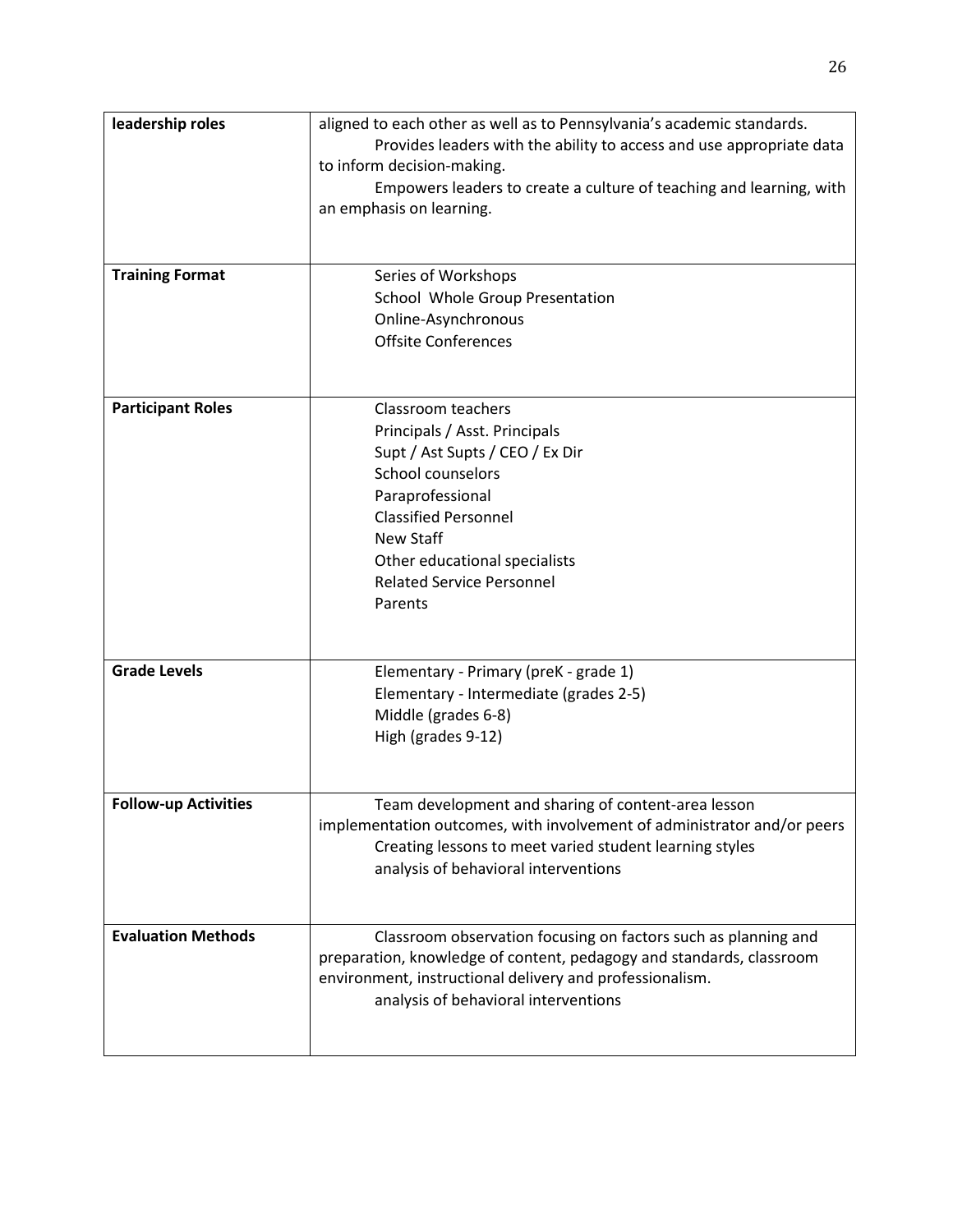| leadership roles<br><b>Training Format</b> | aligned to each other as well as to Pennsylvania's academic standards.<br>Provides leaders with the ability to access and use appropriate data<br>to inform decision-making.<br>Empowers leaders to create a culture of teaching and learning, with<br>an emphasis on learning.<br>Series of Workshops<br>School Whole Group Presentation |
|--------------------------------------------|-------------------------------------------------------------------------------------------------------------------------------------------------------------------------------------------------------------------------------------------------------------------------------------------------------------------------------------------|
|                                            | Online-Asynchronous<br><b>Offsite Conferences</b>                                                                                                                                                                                                                                                                                         |
| <b>Participant Roles</b>                   | Classroom teachers<br>Principals / Asst. Principals<br>Supt / Ast Supts / CEO / Ex Dir<br>School counselors<br>Paraprofessional<br><b>Classified Personnel</b><br>New Staff<br>Other educational specialists<br><b>Related Service Personnel</b><br>Parents                                                                               |
| <b>Grade Levels</b>                        | Elementary - Primary (preK - grade 1)<br>Elementary - Intermediate (grades 2-5)<br>Middle (grades 6-8)<br>High (grades 9-12)                                                                                                                                                                                                              |
| <b>Follow-up Activities</b>                | Team development and sharing of content-area lesson<br>implementation outcomes, with involvement of administrator and/or peers<br>Creating lessons to meet varied student learning styles<br>analysis of behavioral interventions                                                                                                         |
| <b>Evaluation Methods</b>                  | Classroom observation focusing on factors such as planning and<br>preparation, knowledge of content, pedagogy and standards, classroom<br>environment, instructional delivery and professionalism.<br>analysis of behavioral interventions                                                                                                |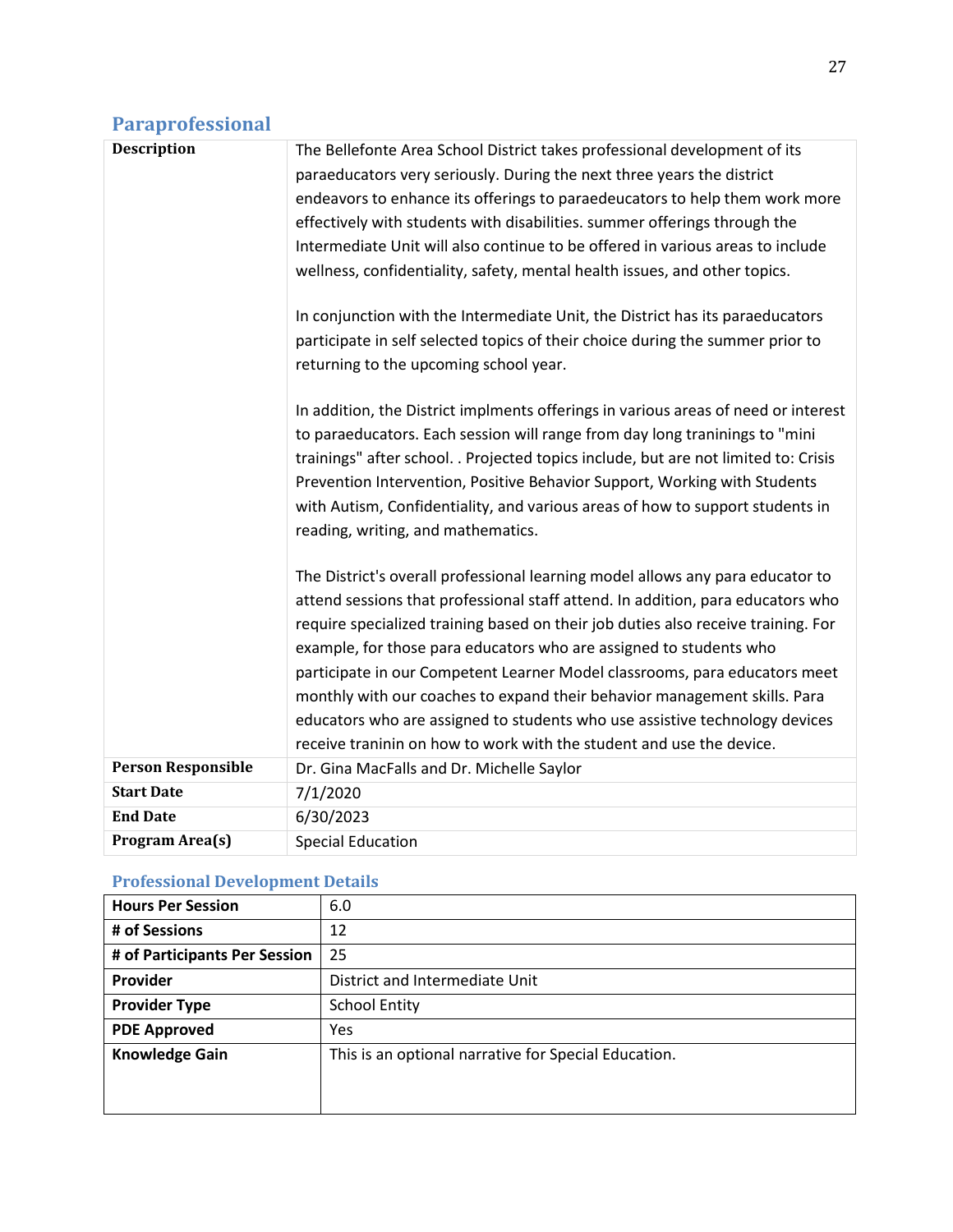## **Paraprofessional**

| <b>Description</b>        | The Bellefonte Area School District takes professional development of its<br>paraeducators very seriously. During the next three years the district<br>endeavors to enhance its offerings to paraedeucators to help them work more<br>effectively with students with disabilities. summer offerings through the<br>Intermediate Unit will also continue to be offered in various areas to include<br>wellness, confidentiality, safety, mental health issues, and other topics.<br>In conjunction with the Intermediate Unit, the District has its paraeducators<br>participate in self selected topics of their choice during the summer prior to<br>returning to the upcoming school year.<br>In addition, the District implments offerings in various areas of need or interest<br>to paraeducators. Each session will range from day long traninings to "mini<br>trainings" after school. . Projected topics include, but are not limited to: Crisis<br>Prevention Intervention, Positive Behavior Support, Working with Students<br>with Autism, Confidentiality, and various areas of how to support students in<br>reading, writing, and mathematics.<br>The District's overall professional learning model allows any para educator to<br>attend sessions that professional staff attend. In addition, para educators who<br>require specialized training based on their job duties also receive training. For<br>example, for those para educators who are assigned to students who<br>participate in our Competent Learner Model classrooms, para educators meet<br>monthly with our coaches to expand their behavior management skills. Para |
|---------------------------|---------------------------------------------------------------------------------------------------------------------------------------------------------------------------------------------------------------------------------------------------------------------------------------------------------------------------------------------------------------------------------------------------------------------------------------------------------------------------------------------------------------------------------------------------------------------------------------------------------------------------------------------------------------------------------------------------------------------------------------------------------------------------------------------------------------------------------------------------------------------------------------------------------------------------------------------------------------------------------------------------------------------------------------------------------------------------------------------------------------------------------------------------------------------------------------------------------------------------------------------------------------------------------------------------------------------------------------------------------------------------------------------------------------------------------------------------------------------------------------------------------------------------------------------------------------------------------------------------------------------------------------------------------|
|                           | educators who are assigned to students who use assistive technology devices<br>receive traninin on how to work with the student and use the device.                                                                                                                                                                                                                                                                                                                                                                                                                                                                                                                                                                                                                                                                                                                                                                                                                                                                                                                                                                                                                                                                                                                                                                                                                                                                                                                                                                                                                                                                                                     |
| <b>Person Responsible</b> |                                                                                                                                                                                                                                                                                                                                                                                                                                                                                                                                                                                                                                                                                                                                                                                                                                                                                                                                                                                                                                                                                                                                                                                                                                                                                                                                                                                                                                                                                                                                                                                                                                                         |
|                           | Dr. Gina MacFalls and Dr. Michelle Saylor                                                                                                                                                                                                                                                                                                                                                                                                                                                                                                                                                                                                                                                                                                                                                                                                                                                                                                                                                                                                                                                                                                                                                                                                                                                                                                                                                                                                                                                                                                                                                                                                               |
| <b>Start Date</b>         | 7/1/2020                                                                                                                                                                                                                                                                                                                                                                                                                                                                                                                                                                                                                                                                                                                                                                                                                                                                                                                                                                                                                                                                                                                                                                                                                                                                                                                                                                                                                                                                                                                                                                                                                                                |
| <b>End Date</b>           | 6/30/2023                                                                                                                                                                                                                                                                                                                                                                                                                                                                                                                                                                                                                                                                                                                                                                                                                                                                                                                                                                                                                                                                                                                                                                                                                                                                                                                                                                                                                                                                                                                                                                                                                                               |
| Program Area(s)           | <b>Special Education</b>                                                                                                                                                                                                                                                                                                                                                                                                                                                                                                                                                                                                                                                                                                                                                                                                                                                                                                                                                                                                                                                                                                                                                                                                                                                                                                                                                                                                                                                                                                                                                                                                                                |

#### **Professional Development Details**

| <b>Hours Per Session</b>      | 6.0                                                  |
|-------------------------------|------------------------------------------------------|
| # of Sessions                 | 12                                                   |
| # of Participants Per Session | 25                                                   |
| <b>Provider</b>               | District and Intermediate Unit                       |
| <b>Provider Type</b>          | <b>School Entity</b>                                 |
| <b>PDE Approved</b>           | Yes                                                  |
| <b>Knowledge Gain</b>         | This is an optional narrative for Special Education. |
|                               |                                                      |
|                               |                                                      |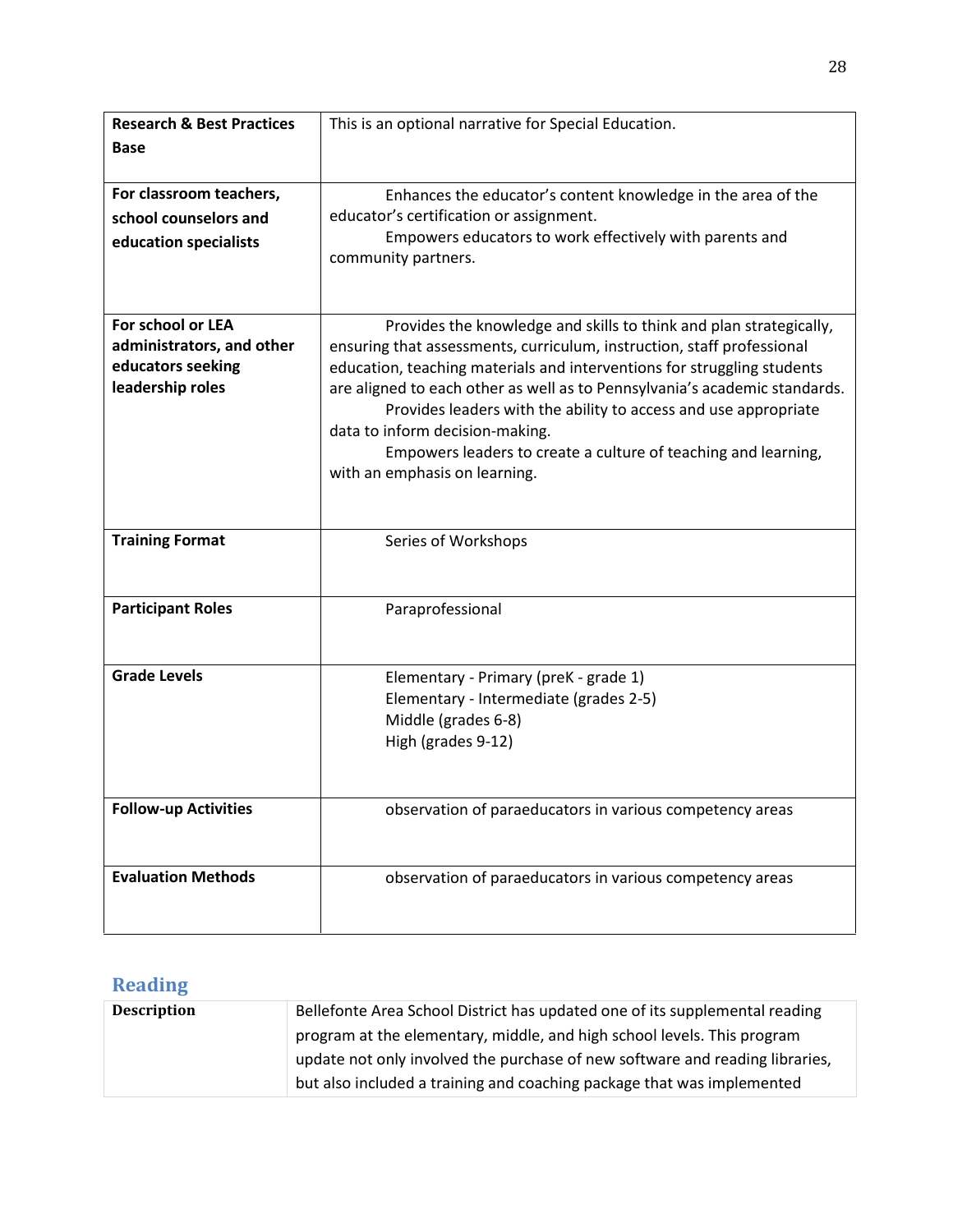| <b>Research &amp; Best Practices</b> | This is an optional narrative for Special Education.                       |
|--------------------------------------|----------------------------------------------------------------------------|
| <b>Base</b>                          |                                                                            |
|                                      |                                                                            |
| For classroom teachers,              | Enhances the educator's content knowledge in the area of the               |
| school counselors and                | educator's certification or assignment.                                    |
| education specialists                | Empowers educators to work effectively with parents and                    |
|                                      | community partners.                                                        |
|                                      |                                                                            |
| For school or LEA                    | Provides the knowledge and skills to think and plan strategically,         |
| administrators, and other            | ensuring that assessments, curriculum, instruction, staff professional     |
| educators seeking                    | education, teaching materials and interventions for struggling students    |
| leadership roles                     | are aligned to each other as well as to Pennsylvania's academic standards. |
|                                      | Provides leaders with the ability to access and use appropriate            |
|                                      | data to inform decision-making.                                            |
|                                      | Empowers leaders to create a culture of teaching and learning,             |
|                                      | with an emphasis on learning.                                              |
|                                      |                                                                            |
| <b>Training Format</b>               | Series of Workshops                                                        |
|                                      |                                                                            |
|                                      |                                                                            |
| <b>Participant Roles</b>             | Paraprofessional                                                           |
|                                      |                                                                            |
|                                      |                                                                            |
| <b>Grade Levels</b>                  | Elementary - Primary (preK - grade 1)                                      |
|                                      | Elementary - Intermediate (grades 2-5)                                     |
|                                      | Middle (grades 6-8)<br>High (grades 9-12)                                  |
|                                      |                                                                            |
|                                      |                                                                            |
| <b>Follow-up Activities</b>          | observation of paraeducators in various competency areas                   |
|                                      |                                                                            |
|                                      |                                                                            |
| <b>Evaluation Methods</b>            | observation of paraeducators in various competency areas                   |
|                                      |                                                                            |
|                                      |                                                                            |

## **Reading**

| <b>Description</b> | Bellefonte Area School District has updated one of its supplemental reading  |
|--------------------|------------------------------------------------------------------------------|
|                    | program at the elementary, middle, and high school levels. This program      |
|                    | update not only involved the purchase of new software and reading libraries, |
|                    | but also included a training and coaching package that was implemented       |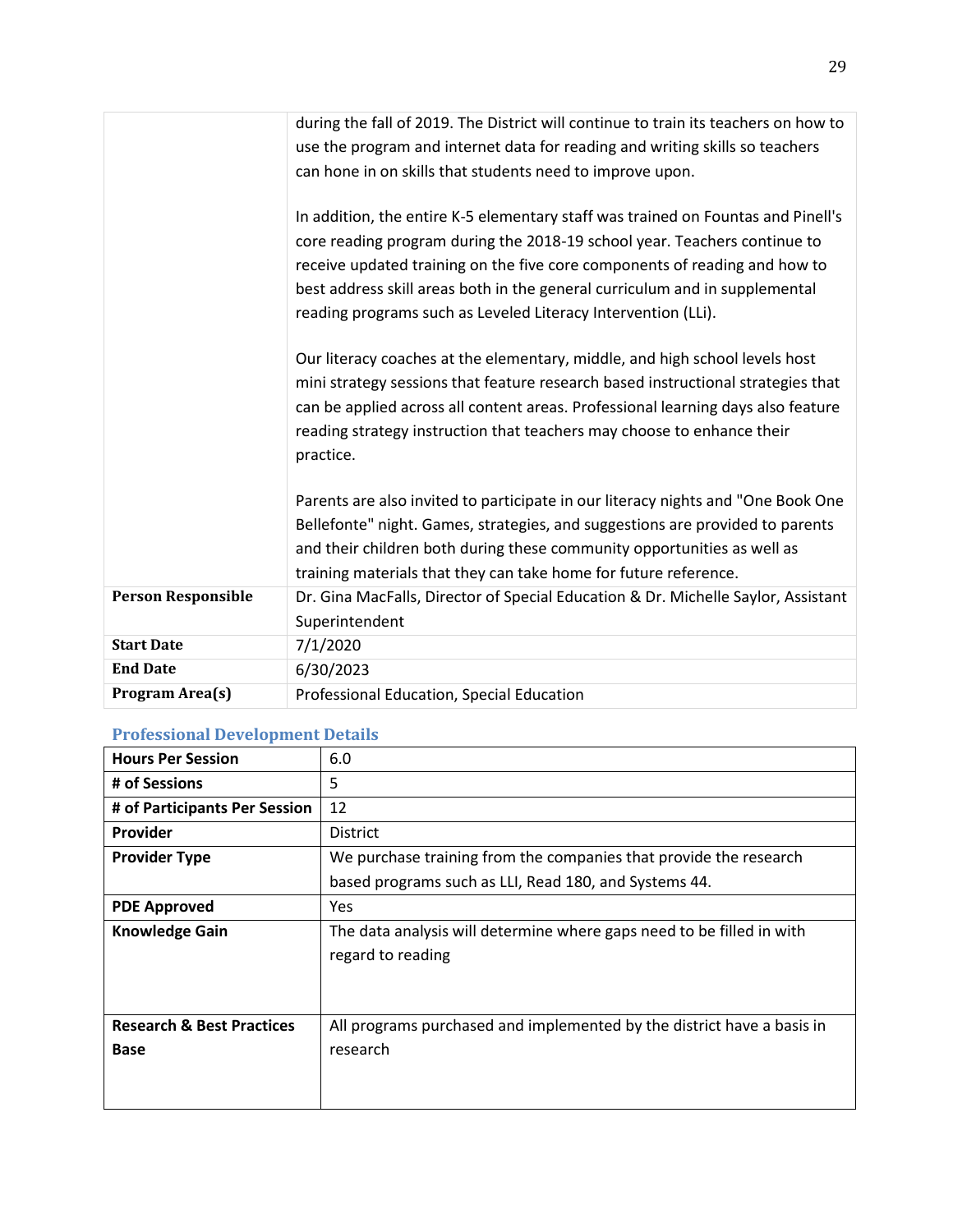|                           | during the fall of 2019. The District will continue to train its teachers on how to<br>use the program and internet data for reading and writing skills so teachers<br>can hone in on skills that students need to improve upon.                                                                                                                                                            |
|---------------------------|---------------------------------------------------------------------------------------------------------------------------------------------------------------------------------------------------------------------------------------------------------------------------------------------------------------------------------------------------------------------------------------------|
|                           | In addition, the entire K-5 elementary staff was trained on Fountas and Pinell's<br>core reading program during the 2018-19 school year. Teachers continue to<br>receive updated training on the five core components of reading and how to<br>best address skill areas both in the general curriculum and in supplemental<br>reading programs such as Leveled Literacy Intervention (LLi). |
|                           | Our literacy coaches at the elementary, middle, and high school levels host<br>mini strategy sessions that feature research based instructional strategies that<br>can be applied across all content areas. Professional learning days also feature<br>reading strategy instruction that teachers may choose to enhance their<br>practice.                                                  |
|                           | Parents are also invited to participate in our literacy nights and "One Book One<br>Bellefonte" night. Games, strategies, and suggestions are provided to parents<br>and their children both during these community opportunities as well as<br>training materials that they can take home for future reference.                                                                            |
| <b>Person Responsible</b> | Dr. Gina MacFalls, Director of Special Education & Dr. Michelle Saylor, Assistant<br>Superintendent                                                                                                                                                                                                                                                                                         |
| <b>Start Date</b>         | 7/1/2020                                                                                                                                                                                                                                                                                                                                                                                    |
| <b>End Date</b>           | 6/30/2023                                                                                                                                                                                                                                                                                                                                                                                   |
| Program Area(s)           | Professional Education, Special Education                                                                                                                                                                                                                                                                                                                                                   |

#### **Professional Development Details**

| <b>Hours Per Session</b>             | 6.0                                                                                        |
|--------------------------------------|--------------------------------------------------------------------------------------------|
| # of Sessions                        | 5                                                                                          |
| # of Participants Per Session        | 12                                                                                         |
| <b>Provider</b>                      | <b>District</b>                                                                            |
| <b>Provider Type</b>                 | We purchase training from the companies that provide the research                          |
|                                      | based programs such as LLI, Read 180, and Systems 44.                                      |
| <b>PDE Approved</b>                  | <b>Yes</b>                                                                                 |
| <b>Knowledge Gain</b>                | The data analysis will determine where gaps need to be filled in with<br>regard to reading |
| <b>Research &amp; Best Practices</b> | All programs purchased and implemented by the district have a basis in                     |
| <b>Base</b>                          | research                                                                                   |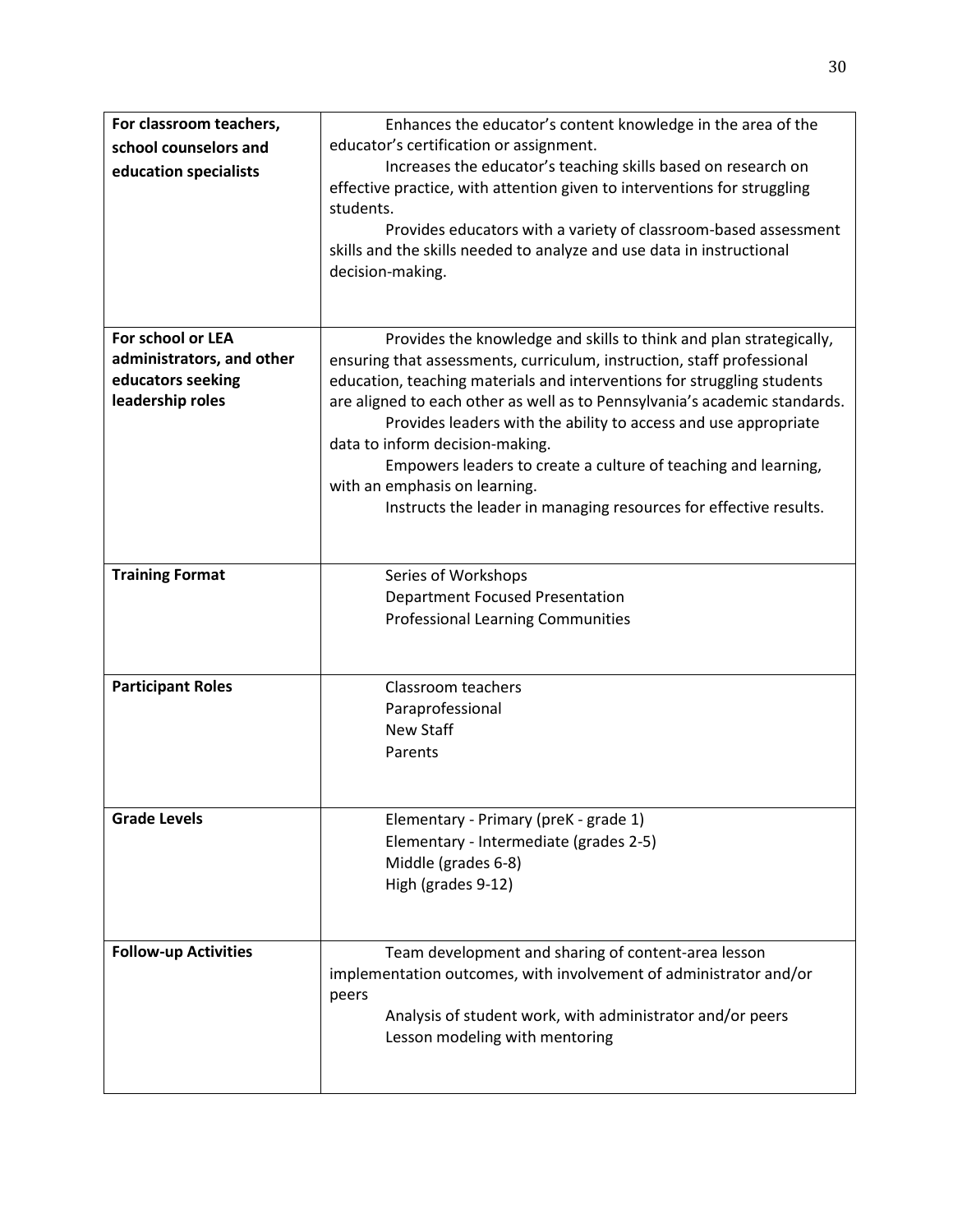| For classroom teachers,     | Enhances the educator's content knowledge in the area of the                                                                                                 |
|-----------------------------|--------------------------------------------------------------------------------------------------------------------------------------------------------------|
| school counselors and       | educator's certification or assignment.                                                                                                                      |
| education specialists       | Increases the educator's teaching skills based on research on                                                                                                |
|                             | effective practice, with attention given to interventions for struggling<br>students.                                                                        |
|                             | Provides educators with a variety of classroom-based assessment<br>skills and the skills needed to analyze and use data in instructional<br>decision-making. |
| For school or LEA           | Provides the knowledge and skills to think and plan strategically,                                                                                           |
| administrators, and other   | ensuring that assessments, curriculum, instruction, staff professional                                                                                       |
| educators seeking           | education, teaching materials and interventions for struggling students                                                                                      |
| leadership roles            | are aligned to each other as well as to Pennsylvania's academic standards.                                                                                   |
|                             | Provides leaders with the ability to access and use appropriate                                                                                              |
|                             | data to inform decision-making.                                                                                                                              |
|                             | Empowers leaders to create a culture of teaching and learning,                                                                                               |
|                             | with an emphasis on learning.                                                                                                                                |
|                             | Instructs the leader in managing resources for effective results.                                                                                            |
|                             |                                                                                                                                                              |
|                             |                                                                                                                                                              |
| <b>Training Format</b>      | Series of Workshops                                                                                                                                          |
|                             | <b>Department Focused Presentation</b>                                                                                                                       |
|                             | <b>Professional Learning Communities</b>                                                                                                                     |
|                             |                                                                                                                                                              |
| <b>Participant Roles</b>    | Classroom teachers                                                                                                                                           |
|                             | Paraprofessional                                                                                                                                             |
|                             | <b>New Staff</b>                                                                                                                                             |
|                             | Parents                                                                                                                                                      |
|                             |                                                                                                                                                              |
|                             |                                                                                                                                                              |
| <b>Grade Levels</b>         | Elementary - Primary (preK - grade 1)                                                                                                                        |
|                             | Elementary - Intermediate (grades 2-5)                                                                                                                       |
|                             | Middle (grades 6-8)                                                                                                                                          |
|                             | High (grades 9-12)                                                                                                                                           |
|                             |                                                                                                                                                              |
| <b>Follow-up Activities</b> | Team development and sharing of content-area lesson                                                                                                          |
|                             | implementation outcomes, with involvement of administrator and/or                                                                                            |
|                             | peers                                                                                                                                                        |
|                             | Analysis of student work, with administrator and/or peers                                                                                                    |
|                             | Lesson modeling with mentoring                                                                                                                               |
|                             |                                                                                                                                                              |
|                             |                                                                                                                                                              |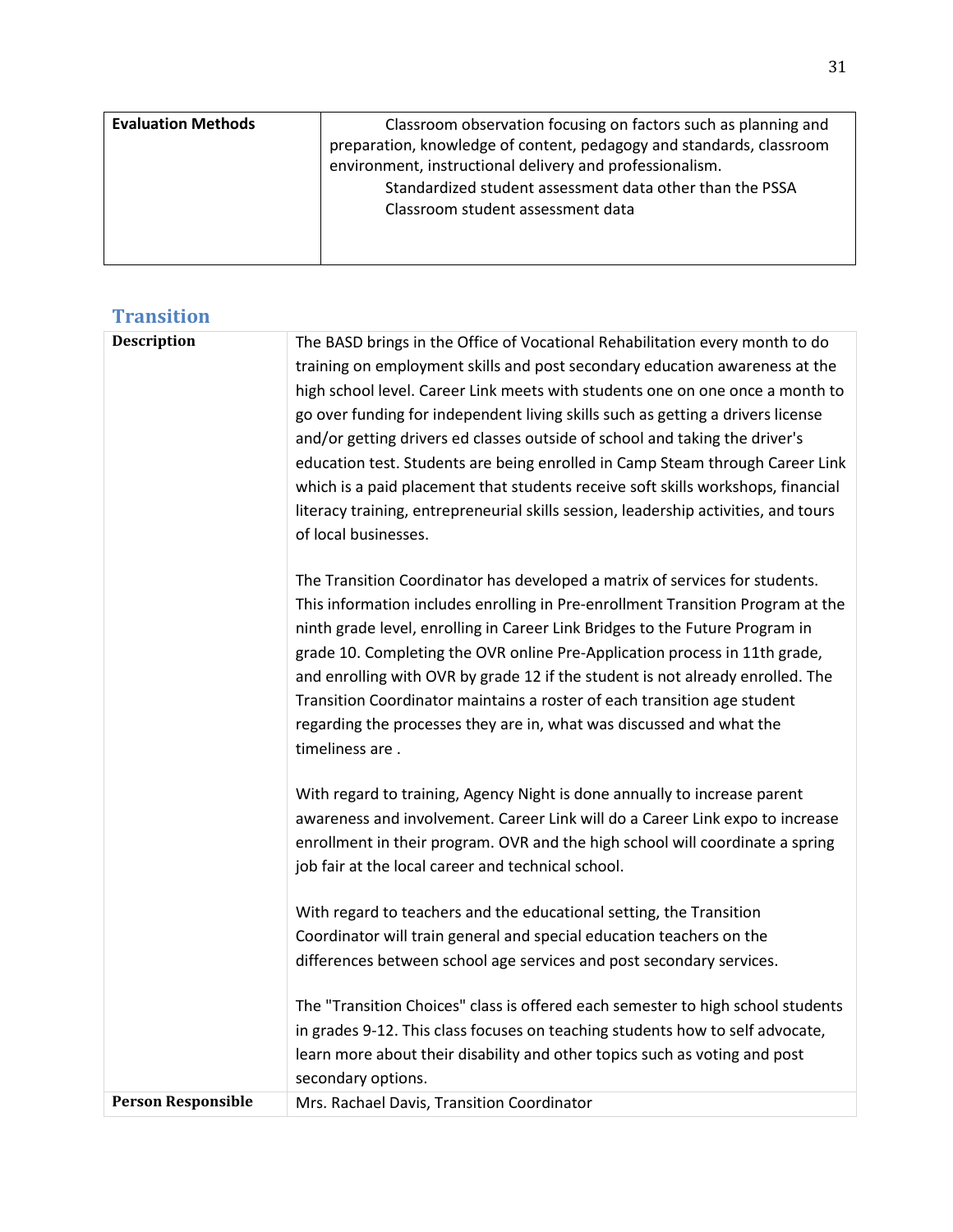| <b>Evaluation Methods</b> | Classroom observation focusing on factors such as planning and<br>preparation, knowledge of content, pedagogy and standards, classroom<br>environment, instructional delivery and professionalism.<br>Standardized student assessment data other than the PSSA |
|---------------------------|----------------------------------------------------------------------------------------------------------------------------------------------------------------------------------------------------------------------------------------------------------------|
|                           | Classroom student assessment data                                                                                                                                                                                                                              |

## **Transition**

| Description               | The BASD brings in the Office of Vocational Rehabilitation every month to do<br>training on employment skills and post secondary education awareness at the<br>high school level. Career Link meets with students one on one once a month to<br>go over funding for independent living skills such as getting a drivers license<br>and/or getting drivers ed classes outside of school and taking the driver's<br>education test. Students are being enrolled in Camp Steam through Career Link<br>which is a paid placement that students receive soft skills workshops, financial<br>literacy training, entrepreneurial skills session, leadership activities, and tours<br>of local businesses. |
|---------------------------|----------------------------------------------------------------------------------------------------------------------------------------------------------------------------------------------------------------------------------------------------------------------------------------------------------------------------------------------------------------------------------------------------------------------------------------------------------------------------------------------------------------------------------------------------------------------------------------------------------------------------------------------------------------------------------------------------|
|                           | The Transition Coordinator has developed a matrix of services for students.<br>This information includes enrolling in Pre-enrollment Transition Program at the<br>ninth grade level, enrolling in Career Link Bridges to the Future Program in<br>grade 10. Completing the OVR online Pre-Application process in 11th grade,<br>and enrolling with OVR by grade 12 if the student is not already enrolled. The<br>Transition Coordinator maintains a roster of each transition age student<br>regarding the processes they are in, what was discussed and what the<br>timeliness are.                                                                                                              |
|                           | With regard to training, Agency Night is done annually to increase parent<br>awareness and involvement. Career Link will do a Career Link expo to increase<br>enrollment in their program. OVR and the high school will coordinate a spring<br>job fair at the local career and technical school.                                                                                                                                                                                                                                                                                                                                                                                                  |
|                           | With regard to teachers and the educational setting, the Transition<br>Coordinator will train general and special education teachers on the<br>differences between school age services and post secondary services.                                                                                                                                                                                                                                                                                                                                                                                                                                                                                |
|                           | The "Transition Choices" class is offered each semester to high school students<br>in grades 9-12. This class focuses on teaching students how to self advocate,<br>learn more about their disability and other topics such as voting and post<br>secondary options.                                                                                                                                                                                                                                                                                                                                                                                                                               |
| <b>Person Responsible</b> | Mrs. Rachael Davis, Transition Coordinator                                                                                                                                                                                                                                                                                                                                                                                                                                                                                                                                                                                                                                                         |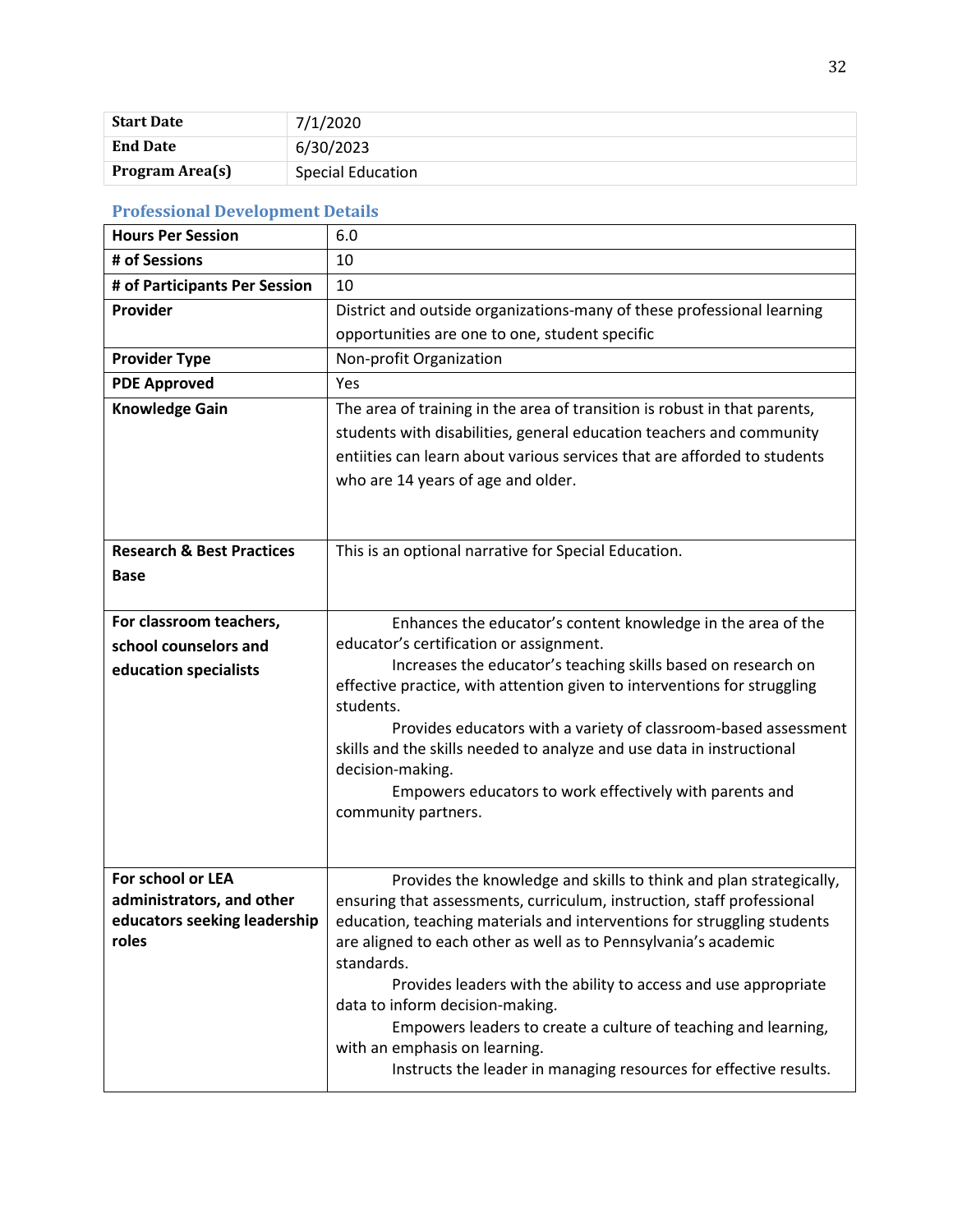| <b>Start Date</b> | 7/1/2020          |
|-------------------|-------------------|
| <b>End Date</b>   | 6/30/2023         |
| Program Area(s)   | Special Education |

## **Professional Development Details**

| <b>Hours Per Session</b>             | 6.0                                                                                                                                       |
|--------------------------------------|-------------------------------------------------------------------------------------------------------------------------------------------|
| # of Sessions                        | 10                                                                                                                                        |
| # of Participants Per Session        | 10                                                                                                                                        |
| Provider                             | District and outside organizations-many of these professional learning                                                                    |
|                                      | opportunities are one to one, student specific                                                                                            |
| <b>Provider Type</b>                 | Non-profit Organization                                                                                                                   |
| <b>PDE Approved</b>                  | Yes                                                                                                                                       |
| <b>Knowledge Gain</b>                | The area of training in the area of transition is robust in that parents,                                                                 |
|                                      | students with disabilities, general education teachers and community                                                                      |
|                                      | entiities can learn about various services that are afforded to students                                                                  |
|                                      | who are 14 years of age and older.                                                                                                        |
|                                      |                                                                                                                                           |
|                                      |                                                                                                                                           |
| <b>Research &amp; Best Practices</b> | This is an optional narrative for Special Education.                                                                                      |
| <b>Base</b>                          |                                                                                                                                           |
|                                      |                                                                                                                                           |
| For classroom teachers,              | Enhances the educator's content knowledge in the area of the                                                                              |
| school counselors and                | educator's certification or assignment.                                                                                                   |
| education specialists                | Increases the educator's teaching skills based on research on<br>effective practice, with attention given to interventions for struggling |
|                                      | students.                                                                                                                                 |
|                                      | Provides educators with a variety of classroom-based assessment                                                                           |
|                                      | skills and the skills needed to analyze and use data in instructional                                                                     |
|                                      | decision-making.                                                                                                                          |
|                                      | Empowers educators to work effectively with parents and                                                                                   |
|                                      | community partners.                                                                                                                       |
|                                      |                                                                                                                                           |
| For school or LEA                    | Provides the knowledge and skills to think and plan strategically,                                                                        |
| administrators, and other            | ensuring that assessments, curriculum, instruction, staff professional                                                                    |
| educators seeking leadership         | education, teaching materials and interventions for struggling students                                                                   |
| roles                                | are aligned to each other as well as to Pennsylvania's academic                                                                           |
|                                      | standards.                                                                                                                                |
|                                      | Provides leaders with the ability to access and use appropriate                                                                           |
|                                      | data to inform decision-making.                                                                                                           |
|                                      | Empowers leaders to create a culture of teaching and learning,<br>with an emphasis on learning.                                           |
|                                      | Instructs the leader in managing resources for effective results.                                                                         |
|                                      |                                                                                                                                           |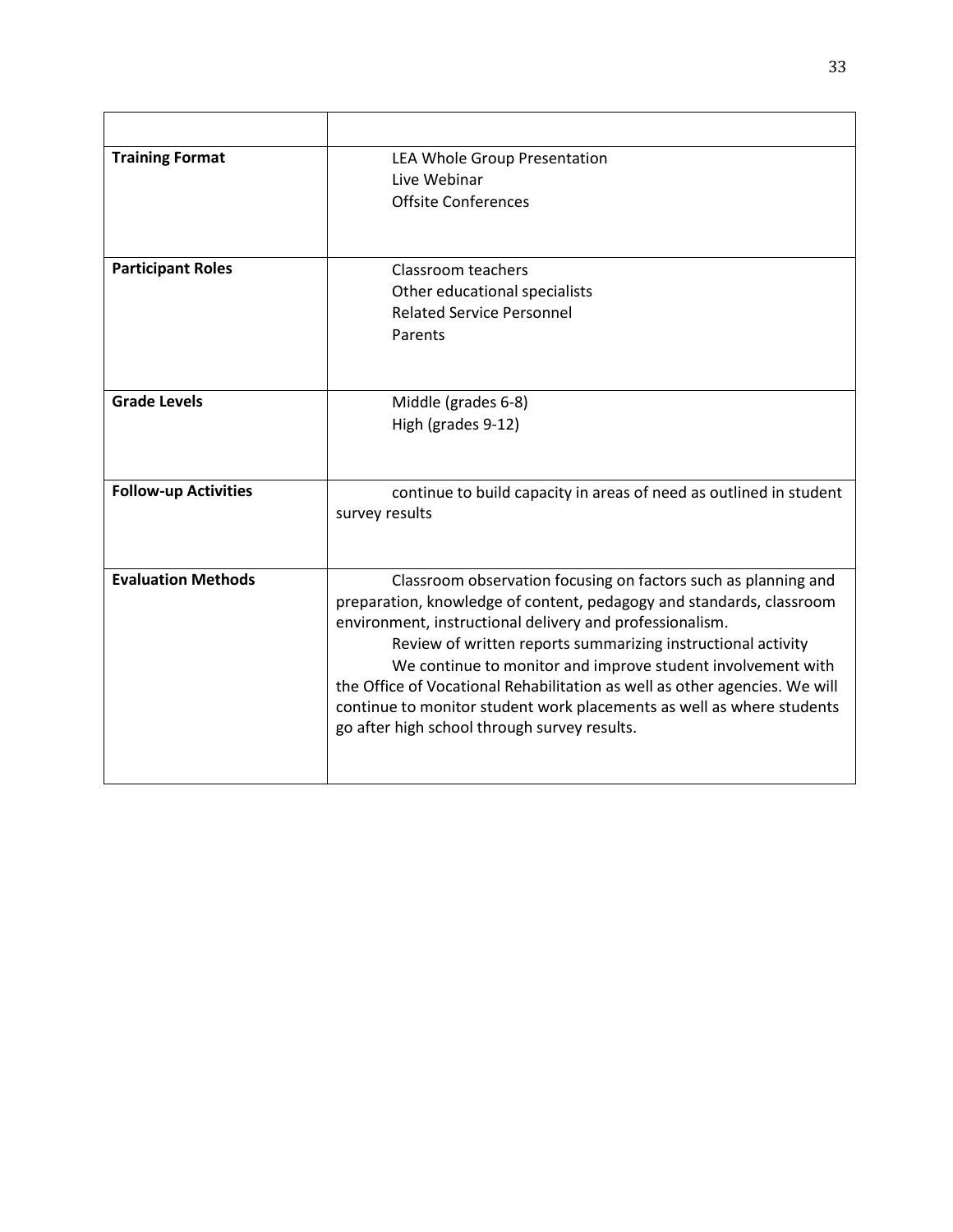| <b>Training Format</b>      | LEA Whole Group Presentation<br>Live Webinar<br><b>Offsite Conferences</b>                                                                                                                                                                                                                                                                                                                                                                                                                                                               |
|-----------------------------|------------------------------------------------------------------------------------------------------------------------------------------------------------------------------------------------------------------------------------------------------------------------------------------------------------------------------------------------------------------------------------------------------------------------------------------------------------------------------------------------------------------------------------------|
| <b>Participant Roles</b>    | Classroom teachers<br>Other educational specialists<br><b>Related Service Personnel</b><br>Parents                                                                                                                                                                                                                                                                                                                                                                                                                                       |
| <b>Grade Levels</b>         | Middle (grades 6-8)<br>High (grades 9-12)                                                                                                                                                                                                                                                                                                                                                                                                                                                                                                |
| <b>Follow-up Activities</b> | continue to build capacity in areas of need as outlined in student<br>survey results                                                                                                                                                                                                                                                                                                                                                                                                                                                     |
| <b>Evaluation Methods</b>   | Classroom observation focusing on factors such as planning and<br>preparation, knowledge of content, pedagogy and standards, classroom<br>environment, instructional delivery and professionalism.<br>Review of written reports summarizing instructional activity<br>We continue to monitor and improve student involvement with<br>the Office of Vocational Rehabilitation as well as other agencies. We will<br>continue to monitor student work placements as well as where students<br>go after high school through survey results. |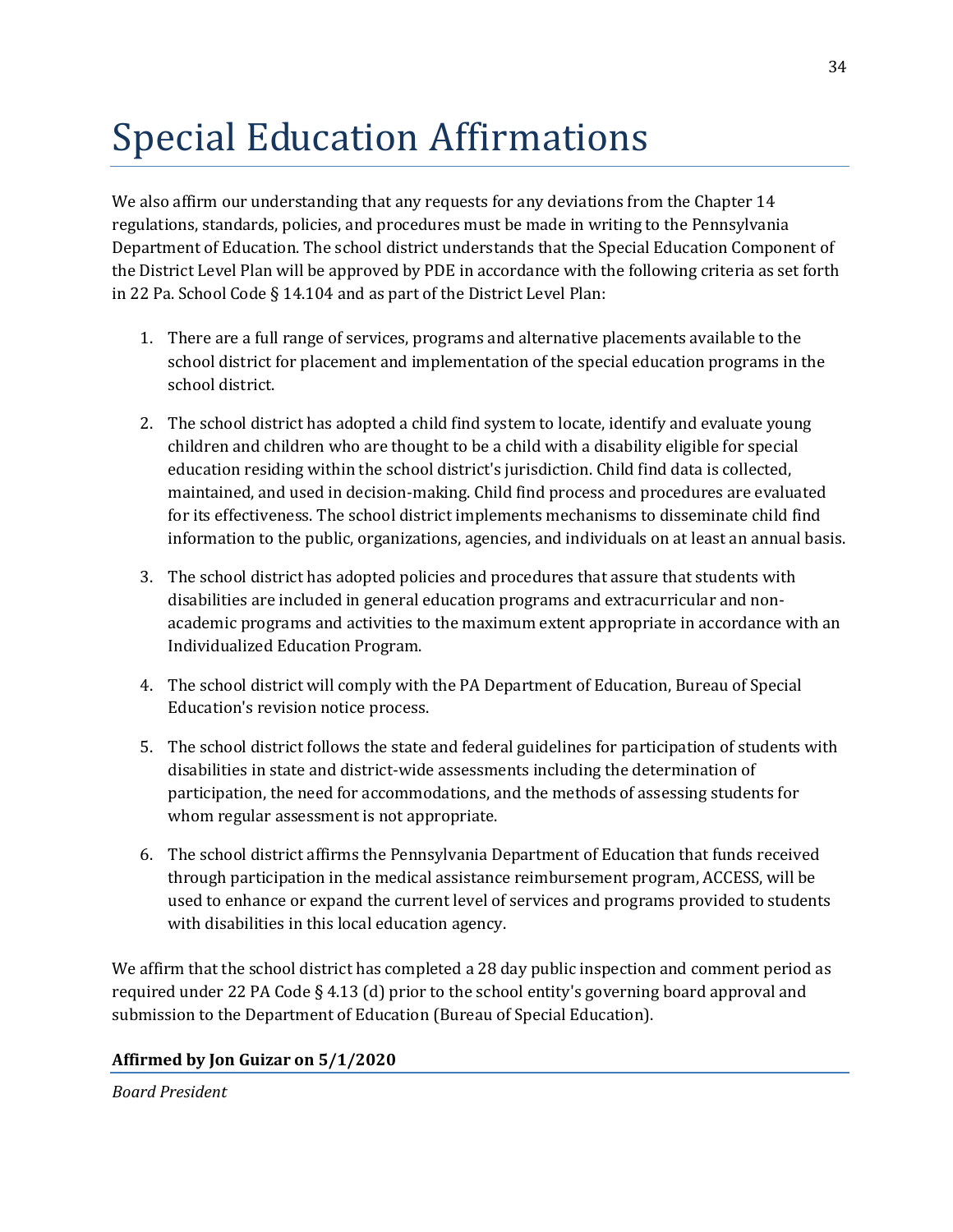## Special Education Affirmations

We also affirm our understanding that any requests for any deviations from the Chapter 14 regulations, standards, policies, and procedures must be made in writing to the Pennsylvania Department of Education. The school district understands that the Special Education Component of the District Level Plan will be approved by PDE in accordance with the following criteria as set forth in 22 Pa. School Code § 14.104 and as part of the District Level Plan:

- 1. There are a full range of services, programs and alternative placements available to the school district for placement and implementation of the special education programs in the school district.
- 2. The school district has adopted a child find system to locate, identify and evaluate young children and children who are thought to be a child with a disability eligible for special education residing within the school district's jurisdiction. Child find data is collected, maintained, and used in decision-making. Child find process and procedures are evaluated for its effectiveness. The school district implements mechanisms to disseminate child find information to the public, organizations, agencies, and individuals on at least an annual basis.
- 3. The school district has adopted policies and procedures that assure that students with disabilities are included in general education programs and extracurricular and nonacademic programs and activities to the maximum extent appropriate in accordance with an Individualized Education Program.
- 4. The school district will comply with the PA Department of Education, Bureau of Special Education's revision notice process.
- 5. The school district follows the state and federal guidelines for participation of students with disabilities in state and district-wide assessments including the determination of participation, the need for accommodations, and the methods of assessing students for whom regular assessment is not appropriate.
- 6. The school district affirms the Pennsylvania Department of Education that funds received through participation in the medical assistance reimbursement program, ACCESS, will be used to enhance or expand the current level of services and programs provided to students with disabilities in this local education agency.

We affirm that the school district has completed a 28 day public inspection and comment period as required under 22 PA Code § 4.13 (d) prior to the school entity's governing board approval and submission to the Department of Education (Bureau of Special Education).

#### **Affirmed by Jon Guizar on 5/1/2020**

*Board President*